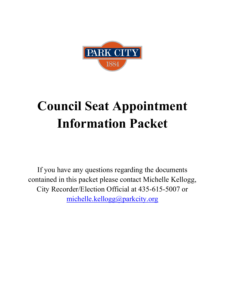

# **Council Seat Appointment Information Packet**

If you have any questions regarding the documents contained in this packet please contact Michelle Kellogg, City Recorder/Election Official at 435-615-5007 or [michelle.kellogg@parkcity.org](mailto:michelle.kellogg@parkcity.org)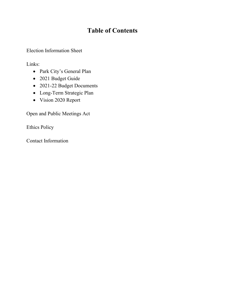# **Table of Contents**

Election Information Sheet

Links:

- Park City's General Plan
- 2021 Budget Guide
- 2021-22 Budget Documents
- Long-Term Strategic Plan
- Vision 2020 Report

Open and Public Meetings Act

Ethics Policy

Contact Information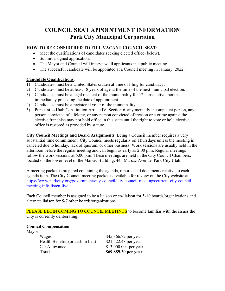### **COUNCIL SEAT APPOINTMENT INFORMATION Park City Municipal Corporation**

#### **HOW TO BE CONSIDERED TO FILL VACANT COUNCIL SEAT**:

- Meet the qualifications of candidates seeking elected office (below).
- Submit a signed application.
- The Mayor and Council will interview all applicants in a public meeting.
- The successful candidate will be appointed at a Council meeting in January, 2022.

#### **Candidate Qualifications**:

- 1) Candidates must be a United States citizen at time of filing for candidacy.
- 2) Candidates must be at least 18 years of age at the time of the next municipal election.
- 3) Candidates must be a legal resident of the municipality for 12 consecutive months immediately preceding the date of appointment.
- 4) Candidates must be a registered voter of the municipality.
- 5) Pursuant to Utah Constitution Article IV, Section 6, any mentally incompetent person, any person convicted of a felony, or any person convicted of treason or a crime against the elective franchise may not hold office in this state until the right to vote or hold elective office is restored as provided by statute.

**City Council Meetings and Board Assignments**. Being a Council member requires a very substantial time commitment. City Council meets regularly on Thursdays unless the meeting is canceled due to holiday, lack of quorum, or other business. Work sessions are usually held in the afternoon before the regular meeting and can begin as early as 2:00 p.m. Regular meetings follow the work sessions at 6:00 p.m. These meetings are held in the City Council Chambers, located on the lower level of the Marsac Building, 445 Marsac Avenue, Park City Utah.

A meeting packet is prepared containing the agenda, reports, and documents relative to each agenda item. The City Council meeting packet is available for review on the City website at [https://www.parkcity.org/government/city-council/city-council-meetings/current-city-council](https://www.parkcity.org/government/city-council/city-council-meetings/current-city-council-meeting-info-listen-live)[meeting-info-listen-live](https://www.parkcity.org/government/city-council/city-council-meetings/current-city-council-meeting-info-listen-live)

Each Council member is assigned to be a liaison or co-liaison for 5-10 boards/organizations and alternate liaison for 5-7 other boards/organizations.

PLEASE BEGIN COMING TO COUNCIL MEETINGS to become familiar with the issues the City is currently deliberating.

#### **Council Compensation**

Mayor

| \$69,889.20 per year |
|----------------------|
| $$3,000.00$ per year |
| \$21,522.48 per year |
| \$45,366.72 per year |
|                      |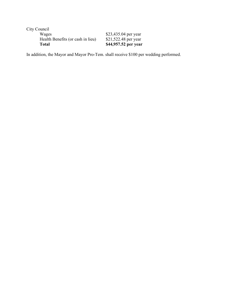| Total                             | \$44,957.52 per year |
|-----------------------------------|----------------------|
| Health Benefits (or cash in lieu) | \$21,522.48 per year |
| Wages                             | \$23,435.04 per year |
| City Council                      |                      |
|                                   |                      |

In addition, the Mayor and Mayor Pro-Tem. shall receive \$100 per wedding performed.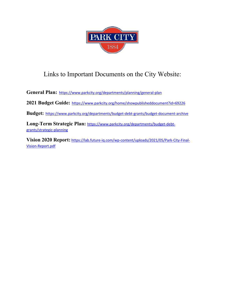

# Links to Important Documents on the City Website:

**[General Plan:](http://www.parkcity.org/index.aspx?page=771)** <https://www.parkcity.org/departments/planning/general-plan>

**2021 Budget Guide:** <https://www.parkcity.org/home/showpublisheddocument?id=69226>

**Budget:** <https://www.parkcity.org/departments/budget-debt-grants/budget-document-archive>

**Long-Term Strategic Plan:** [https://www.parkcity.org/departments/budget-debt](https://www.parkcity.org/departments/budget-debt-grants/strategic-planning)[grants/strategic-planning](https://www.parkcity.org/departments/budget-debt-grants/strategic-planning)

**Vision 2020 Report:** [https://lab.future-iq.com/wp-content/uploads/2021/05/Park-City-Final-](https://lab.future-iq.com/wp-content/uploads/2021/05/Park-City-Final-Vision-Report.pdf)[Vision-Report.pdf](https://lab.future-iq.com/wp-content/uploads/2021/05/Park-City-Final-Vision-Report.pdf)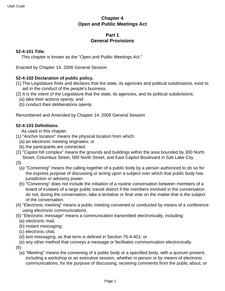#### **Chapter 4 Open and Public Meetings Act**

#### **Part 1 General Provisions**

#### **52-4-101 Title.**

This chapter is known as the "Open and Public Meetings Act."

Enacted by Chapter 14, 2006 General Session

#### **52-4-102 Declaration of public policy.**

- (1) The Legislature finds and declares that the state, its agencies and political subdivisions, exist to aid in the conduct of the people's business.
- (2) It is the intent of the Legislature that the state, its agencies, and its political subdivisions:
	- (a) take their actions openly; and
	- (b) conduct their deliberations openly.

Renumbered and Amended by Chapter 14, 2006 General Session

#### **52-4-103 Definitions.**

As used in this chapter:

- (1) "Anchor location" means the physical location from which:
	- (a) an electronic meeting originates; or
	- (b) the participants are connected.
- (2) "Capitol hill complex" means the grounds and buildings within the area bounded by 300 North Street, Columbus Street, 500 North Street, and East Capitol Boulevard in Salt Lake City.

(3)

- (a) "Convening" means the calling together of a public body by a person authorized to do so for the express purpose of discussing or acting upon a subject over which that public body has jurisdiction or advisory power.
- (b) "Convening" does not include the initiation of a routine conversation between members of a board of trustees of a large public transit district if the members involved in the conversation do not, during the conversation, take a tentative or final vote on the matter that is the subject of the conversation.
- (4) "Electronic meeting" means a public meeting convened or conducted by means of a conference using electronic communications.
- (5) "Electronic message" means a communication transmitted electronically, including:
	- (a) electronic mail;
	- (b) instant messaging;
	- (c) electronic chat;
	- (d) text messaging, as that term is defined in Section 76-4-401; or
- (e) any other method that conveys a message or facilitates communication electronically. (6)
	- (a) "Meeting" means the convening of a public body or a specified body, with a quorum present, including a workshop or an executive session, whether in person or by means of electronic communications, for the purpose of discussing, receiving comments from the public about, or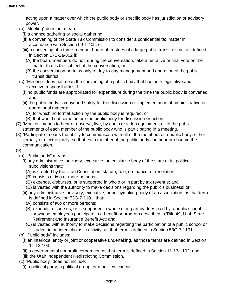acting upon a matter over which the public body or specific body has jurisdiction or advisory power.

- (b) "Meeting" does not mean:
	- (i) a chance gathering or social gathering;
	- (ii) a convening of the State Tax Commission to consider a confidential tax matter in accordance with Section 59-1-405; or
	- (iii) a convening of a three-member board of trustees of a large public transit district as defined in Section 17B-2a-802 if:
		- (A) the board members do not, during the conversation, take a tentative or final vote on the matter that is the subject of the conversation; or
		- (B) the conversation pertains only to day-to-day management and operation of the public transit district.
- (c) "Meeting" does not mean the convening of a public body that has both legislative and executive responsibilities if:
	- (i) no public funds are appropriated for expenditure during the time the public body is convened; and
	- (ii) the public body is convened solely for the discussion or implementation of administrative or operational matters:
		- (A) for which no formal action by the public body is required; or
		- (B) that would not come before the public body for discussion or action.
- (7) "Monitor" means to hear or observe, live, by audio or video equipment, all of the public statements of each member of the public body who is participating in a meeting.
- (8) "Participate" means the ability to communicate with all of the members of a public body, either verbally or electronically, so that each member of the public body can hear or observe the communication.
- (9)
	- (a) "Public body" means:
		- (i) any administrative, advisory, executive, or legislative body of the state or its political subdivisions that:
			- (A) is created by the Utah Constitution, statute, rule, ordinance, or resolution;
			- (B) consists of two or more persons;
			- (C) expends, disburses, or is supported in whole or in part by tax revenue; and
			- (D) is vested with the authority to make decisions regarding the public's business; or
		- (ii) any administrative, advisory, executive, or policymaking body of an association, as that term is defined in Section 53G-7-1101, that:
			- (A) consists of two or more persons;
			- (B) expends, disburses, or is supported in whole or in part by dues paid by a public school or whose employees participate in a benefit or program described in Title 49, Utah State Retirement and Insurance Benefit Act; and
			- (C) is vested with authority to make decisions regarding the participation of a public school or student in an interscholastic activity, as that term is defined in Section 53G-7-1101.
	- (b) "Public body" includes:
		- (i) an interlocal entity or joint or cooperative undertaking, as those terms are defined in Section 11-13-103;
		- (ii) a governmental nonprofit corporation as that term is defined in Section 11-13a-102; and
		- (iii) the Utah Independent Redistricting Commission.
	- (c) "Public body" does not include:
		- (i) a political party, a political group, or a political caucus;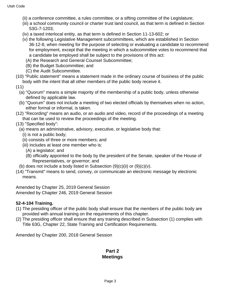- (ii) a conference committee, a rules committee, or a sifting committee of the Legislature;
- (iii) a school community council or charter trust land council, as that term is defined in Section 53G-7-1203;
- (iv) a taxed interlocal entity, as that term is defined in Section 11-13-602; or
- (v) the following Legislative Management subcommittees, which are established in Section 36-12-8, when meeting for the purpose of selecting or evaluating a candidate to recommend for employment, except that the meeting in which a subcommittee votes to recommend that a candidate be employed shall be subject to the provisions of this act:
	- (A) the Research and General Counsel Subcommittee;
	- (B) the Budget Subcommittee; and
	- (C) the Audit Subcommittee.
- (10) "Public statement" means a statement made in the ordinary course of business of the public body with the intent that all other members of the public body receive it.
- (11)
	- (a) "Quorum" means a simple majority of the membership of a public body, unless otherwise defined by applicable law.
	- (b) "Quorum" does not include a meeting of two elected officials by themselves when no action, either formal or informal, is taken.
- (12) "Recording" means an audio, or an audio and video, record of the proceedings of a meeting that can be used to review the proceedings of the meeting.
- (13) "Specified body":
	- (a) means an administrative, advisory, executive, or legislative body that:
		- (i) is not a public body;
		- (ii) consists of three or more members; and
		- (iii) includes at least one member who is:
			- (A) a legislator; and
			- (B) officially appointed to the body by the president of the Senate, speaker of the House of Representatives, or governor; and
	- (b) does not include a body listed in Subsection  $(9)(c)(ii)$  or  $(9)(c)(v)$ .
- (14) "Transmit" means to send, convey, or communicate an electronic message by electronic means.

Amended by Chapter 25, 2019 General Session Amended by Chapter 246, 2019 General Session

#### **52-4-104 Training.**

- (1) The presiding officer of the public body shall ensure that the members of the public body are provided with annual training on the requirements of this chapter.
- (2) The presiding officer shall ensure that any training described in Subsection (1) complies with Title 63G, Chapter 22, State Training and Certification Requirements.

Amended by Chapter 200, 2018 General Session

#### **Part 2 Meetings**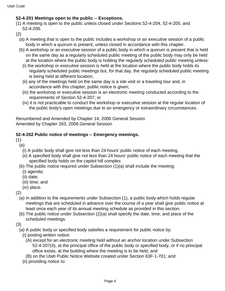#### **52-4-201 Meetings open to the public -- Exceptions.**

(1) A meeting is open to the public unless closed under Sections 52-4-204, 52-4-205, and 52-4-206.

(2)

- (a) A meeting that is open to the public includes a workshop or an executive session of a public body in which a quorum is present, unless closed in accordance with this chapter.
- (b) A workshop or an executive session of a public body in which a quorum is present that is held on the same day as a regularly scheduled public meeting of the public body may only be held at the location where the public body is holding the regularly scheduled public meeting unless:
	- (i) the workshop or executive session is held at the location where the public body holds its regularly scheduled public meetings but, for that day, the regularly scheduled public meeting is being held at different location;
	- (ii) any of the meetings held on the same day is a site visit or a traveling tour and, in accordance with this chapter, public notice is given;
	- (iii) the workshop or executive session is an electronic meeting conducted according to the requirements of Section 52-4-207; or
	- (iv) it is not practicable to conduct the workshop or executive session at the regular location of the public body's open meetings due to an emergency or extraordinary circumstances.

Renumbered and Amended by Chapter 14, 2006 General Session Amended by Chapter 263, 2006 General Session

#### **52-4-202 Public notice of meetings -- Emergency meetings.**

(1)

- (a)
	- (i) A public body shall give not less than 24 hours' public notice of each meeting.
	- (ii) A specified body shall give not less than 24 hours' public notice of each meeting that the specified body holds on the capitol hill complex.
- (b) The public notice required under Subsection (1)(a) shall include the meeting:
	- (i) agenda;
	- (ii) date;
	- (iii) time; and
	- (iv) place.

(2)

- (a) In addition to the requirements under Subsection (1), a public body which holds regular meetings that are scheduled in advance over the course of a year shall give public notice at least once each year of its annual meeting schedule as provided in this section.
- (b) The public notice under Subsection (2)(a) shall specify the date, time, and place of the scheduled meetings.

(3)

- (a) A public body or specified body satisfies a requirement for public notice by:
	- (i) posting written notice:
		- (A) except for an electronic meeting held without an anchor location under Subsection 52-4-207(4), at the principal office of the public body or specified body, or if no principal office exists, at the building where the meeting is to be held; and
	- (B) on the Utah Public Notice Website created under Section 63F-1-701; and
	- (ii) providing notice to: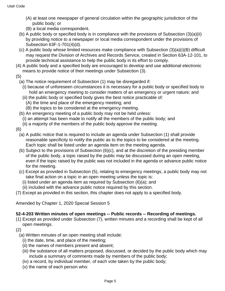- (A) at least one newspaper of general circulation within the geographic jurisdiction of the public body; or
- (B) a local media correspondent.
- (b) A public body or specified body is in compliance with the provisions of Subsection (3)(a)(ii) by providing notice to a newspaper or local media correspondent under the provisions of Subsection 63F-1-701(4)(d).
- (c) A public body whose limited resources make compliance with Subsection (3)(a)(i)(B) difficult may request the Division of Archives and Records Service, created in Section 63A-12-101, to provide technical assistance to help the public body in its effort to comply.
- (4) A public body and a specified body are encouraged to develop and use additional electronic means to provide notice of their meetings under Subsection (3).
- (5)
	- (a) The notice requirement of Subsection (1) may be disregarded if:
		- (i) because of unforeseen circumstances it is necessary for a public body or specified body to hold an emergency meeting to consider matters of an emergency or urgent nature; and
		- (ii) the public body or specified body gives the best notice practicable of:
			- (A) the time and place of the emergency meeting; and
			- (B) the topics to be considered at the emergency meeting.
	- (b) An emergency meeting of a public body may not be held unless:
		- (i) an attempt has been made to notify all the members of the public body; and
		- (ii) a majority of the members of the public body approve the meeting.
- (6)
	- (a) A public notice that is required to include an agenda under Subsection (1) shall provide reasonable specificity to notify the public as to the topics to be considered at the meeting. Each topic shall be listed under an agenda item on the meeting agenda.
	- (b) Subject to the provisions of Subsection (6)(c), and at the discretion of the presiding member of the public body, a topic raised by the public may be discussed during an open meeting, even if the topic raised by the public was not included in the agenda or advance public notice for the meeting.
	- (c) Except as provided in Subsection (5), relating to emergency meetings, a public body may not take final action on a topic in an open meeting unless the topic is:
		- (i) listed under an agenda item as required by Subsection (6)(a); and
		- (ii) included with the advance public notice required by this section.
- (7) Except as provided in this section, this chapter does not apply to a specified body.

Amended by Chapter 1, 2020 Special Session 5

#### **52-4-203 Written minutes of open meetings -- Public records -- Recording of meetings.**

- (1) Except as provided under Subsection (7), written minutes and a recording shall be kept of all open meetings.
- (2)
	- (a) Written minutes of an open meeting shall include:
		- (i) the date, time, and place of the meeting;
		- (ii) the names of members present and absent;
		- (iii) the substance of all matters proposed, discussed, or decided by the public body which may include a summary of comments made by members of the public body;
		- (iv) a record, by individual member, of each vote taken by the public body;
		- (v) the name of each person who: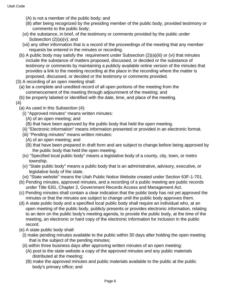- (A) is not a member of the public body; and
- (B) after being recognized by the presiding member of the public body, provided testimony or comments to the public body;
- (vi) the substance, in brief, of the testimony or comments provided by the public under Subsection  $(2)(a)(v)$ ; and
- (vii) any other information that is a record of the proceedings of the meeting that any member requests be entered in the minutes or recording.
- (b) A public body may satisfy the requirement under Subsection (2)(a)(iii) or (vi) that minutes include the substance of matters proposed, discussed, or decided or the substance of testimony or comments by maintaining a publicly available online version of the minutes that provides a link to the meeting recording at the place in the recording where the matter is proposed, discussed, or decided or the testimony or comments provided.
- (3) A recording of an open meeting shall:
	- (a) be a complete and unedited record of all open portions of the meeting from the commencement of the meeting through adjournment of the meeting; and
	- (b) be properly labeled or identified with the date, time, and place of the meeting.

#### (4)

- (a) As used in this Subsection (4):
	- (i) "Approved minutes" means written minutes:
		- (A) of an open meeting; and
		- (B) that have been approved by the public body that held the open meeting.
	- (ii) "Electronic information" means information presented or provided in an electronic format.
	- (iii) "Pending minutes" means written minutes:
		- (A) of an open meeting; and
		- (B) that have been prepared in draft form and are subject to change before being approved by the public body that held the open meeting.
	- (iv) "Specified local public body" means a legislative body of a county, city, town, or metro township.
	- (v) "State public body" means a public body that is an administrative, advisory, executive, or legislative body of the state.
	- (vi) "State website" means the Utah Public Notice Website created under Section 63F-1-701.
- (b) Pending minutes, approved minutes, and a recording of a public meeting are public records under Title 63G, Chapter 2, Government Records Access and Management Act.
- (c) Pending minutes shall contain a clear indication that the public body has not yet approved the minutes or that the minutes are subject to change until the public body approves them.
- (d) A state public body and a specified local public body shall require an individual who, at an open meeting of the public body, publicly presents or provides electronic information, relating to an item on the public body's meeting agenda, to provide the public body, at the time of the meeting, an electronic or hard copy of the electronic information for inclusion in the public record.
- (e) A state public body shall:
	- (i) make pending minutes available to the public within 30 days after holding the open meeting that is the subject of the pending minutes;
	- (ii) within three business days after approving written minutes of an open meeting:
		- (A) post to the state website a copy of the approved minutes and any public materials distributed at the meeting;
		- (B) make the approved minutes and public materials available to the public at the public body's primary office; and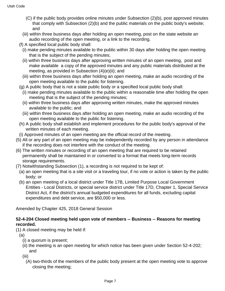- (C) if the public body provides online minutes under Subsection (2)(b), post approved minutes that comply with Subsection (2)(b) and the public materials on the public body's website; and
- (iii) within three business days after holding an open meeting, post on the state website an audio recording of the open meeting, or a link to the recording.
- (f) A specified local public body shall:
	- (i) make pending minutes available to the public within 30 days after holding the open meeting that is the subject of the pending minutes;
	- (ii) within three business days after approving written minutes of an open meeting, post and make available a copy of the approved minutes and any public materials distributed at the meeting, as provided in Subsection (4)(e)(ii); and
	- (iii) within three business days after holding an open meeting, make an audio recording of the open meeting available to the public for listening.
- (g) A public body that is not a state public body or a specified local public body shall:
	- (i) make pending minutes available to the public within a reasonable time after holding the open meeting that is the subject of the pending minutes;
	- (ii) within three business days after approving written minutes, make the approved minutes available to the public; and
	- (iii) within three business days after holding an open meeting, make an audio recording of the open meeting available to the public for listening.
- (h) A public body shall establish and implement procedures for the public body's approval of the written minutes of each meeting.
- (i) Approved minutes of an open meeting are the official record of the meeting.
- (5) All or any part of an open meeting may be independently recorded by any person in attendance if the recording does not interfere with the conduct of the meeting.
- (6) The written minutes or recording of an open meeting that are required to be retained permanently shall be maintained in or converted to a format that meets long-term records storage requirements.
- (7) Notwithstanding Subsection (1), a recording is not required to be kept of:
	- (a) an open meeting that is a site visit or a traveling tour, if no vote or action is taken by the public body; or
	- (b) an open meeting of a local district under Title 17B, Limited Purpose Local Government Entities - Local Districts, or special service district under Title 17D, Chapter 1, Special Service District Act, if the district's annual budgeted expenditures for all funds, excluding capital expenditures and debt service, are \$50,000 or less.

Amended by Chapter 425, 2018 General Session

#### **52-4-204 Closed meeting held upon vote of members -- Business -- Reasons for meeting recorded.**

- (1) A closed meeting may be held if:
	- (a)
		- (i) a quorum is present;
		- (ii) the meeting is an open meeting for which notice has been given under Section 52-4-202; and
		- (iii)
			- (A) two-thirds of the members of the public body present at the open meeting vote to approve closing the meeting;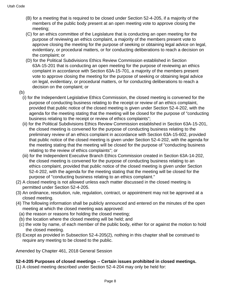- (B) for a meeting that is required to be closed under Section 52-4-205, if a majority of the members of the public body present at an open meeting vote to approve closing the meeting;
- (C) for an ethics committee of the Legislature that is conducting an open meeting for the purpose of reviewing an ethics complaint, a majority of the members present vote to approve closing the meeting for the purpose of seeking or obtaining legal advice on legal, evidentiary, or procedural matters, or for conducting deliberations to reach a decision on the complaint; or
- (D) for the Political Subdivisions Ethics Review Commission established in Section 63A-15-201 that is conducting an open meeting for the purpose of reviewing an ethics complaint in accordance with Section 63A-15-701, a majority of the members present vote to approve closing the meeting for the purpose of seeking or obtaining legal advice on legal, evidentiary, or procedural matters, or for conducting deliberations to reach a decision on the complaint; or
- (b)
	- (i) for the Independent Legislative Ethics Commission, the closed meeting is convened for the purpose of conducting business relating to the receipt or review of an ethics complaint, provided that public notice of the closed meeting is given under Section 52-4-202, with the agenda for the meeting stating that the meeting will be closed for the purpose of "conducting business relating to the receipt or review of ethics complaints";
	- (ii) for the Political Subdivisions Ethics Review Commission established in Section 63A-15-201, the closed meeting is convened for the purpose of conducting business relating to the preliminary review of an ethics complaint in accordance with Section 63A-15-602, provided that public notice of the closed meeting is given under Section 52-4-202, with the agenda for the meeting stating that the meeting will be closed for the purpose of "conducting business relating to the review of ethics complaints"; or
	- (iii) for the Independent Executive Branch Ethics Commission created in Section 63A-14-202, the closed meeting is convened for the purpose of conducting business relating to an ethics complaint, provided that public notice of the closed meeting is given under Section 52-4-202, with the agenda for the meeting stating that the meeting will be closed for the purpose of "conducting business relating to an ethics complaint."
- (2) A closed meeting is not allowed unless each matter discussed in the closed meeting is permitted under Section 52-4-205.
- (3) An ordinance, resolution, rule, regulation, contract, or appointment may not be approved at a closed meeting.
- (4) The following information shall be publicly announced and entered on the minutes of the open meeting at which the closed meeting was approved:
	- (a) the reason or reasons for holding the closed meeting;
	- (b) the location where the closed meeting will be held; and
	- (c) the vote by name, of each member of the public body, either for or against the motion to hold the closed meeting.
- (5) Except as provided in Subsection 52-4-205(2), nothing in this chapter shall be construed to require any meeting to be closed to the public.

Amended by Chapter 461, 2018 General Session

#### **52-4-205 Purposes of closed meetings -- Certain issues prohibited in closed meetings.**

(1) A closed meeting described under Section 52-4-204 may only be held for: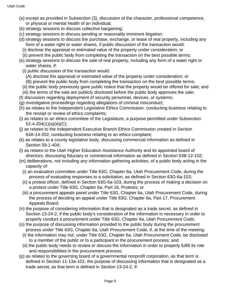- (a) except as provided in Subsection (3), discussion of the character, professional competence, or physical or mental health of an individual;
- (b) strategy sessions to discuss collective bargaining;
- (c) strategy sessions to discuss pending or reasonably imminent litigation;
- (d) strategy sessions to discuss the purchase, exchange, or lease of real property, including any form of a water right or water shares, if public discussion of the transaction would:
	- (i) disclose the appraisal or estimated value of the property under consideration; or
- (ii) prevent the public body from completing the transaction on the best possible terms;
- (e) strategy sessions to discuss the sale of real property, including any form of a water right or water shares, if:
	- (i) public discussion of the transaction would:
		- (A) disclose the appraisal or estimated value of the property under consideration; or
	- (B) prevent the public body from completing the transaction on the best possible terms;
	- (ii) the public body previously gave public notice that the property would be offered for sale; and
- (iii) the terms of the sale are publicly disclosed before the public body approves the sale;
- (f) discussion regarding deployment of security personnel, devices, or systems;
- (g) investigative proceedings regarding allegations of criminal misconduct;
- (h) as relates to the Independent Legislative Ethics Commission, conducting business relating to the receipt or review of ethics complaints;
- (i) as relates to an ethics committee of the Legislature, a purpose permitted under Subsection 52-4-204(1)(a)(iii)(C);
- (j) as relates to the Independent Executive Branch Ethics Commission created in Section 63A-14-202, conducting business relating to an ethics complaint;
- (k) as relates to a county legislative body, discussing commercial information as defined in Section 59-1-404;
- (l) as relates to the Utah Higher Education Assistance Authority and its appointed board of directors, discussing fiduciary or commercial information as defined in Section 53B-12-102;
- (m) deliberations, not including any information gathering activities, of a public body acting in the capacity of:
	- (i) an evaluation committee under Title 63G, Chapter 6a, Utah Procurement Code, during the process of evaluating responses to a solicitation, as defined in Section 63G-6a-103;
	- (ii) a protest officer, defined in Section 63G-6a-103, during the process of making a decision on a protest under Title 63G, Chapter 6a, Part 16, Protests; or
	- (iii) a procurement appeals panel under Title 63G, Chapter 6a, Utah Procurement Code, during the process of deciding an appeal under Title 63G, Chapter 6a, Part 17, Procurement Appeals Board;
- (n) the purpose of considering information that is designated as a trade secret, as defined in Section 13-24-2, if the public body's consideration of the information is necessary in order to properly conduct a procurement under Title 63G, Chapter 6a, Utah Procurement Code;
- (o) the purpose of discussing information provided to the public body during the procurement process under Title 63G, Chapter 6a, Utah Procurement Code, if, at the time of the meeting:
	- (i) the information may not, under Title 63G, Chapter 6a, Utah Procurement Code, be disclosed to a member of the public or to a participant in the procurement process; and
	- (ii) the public body needs to review or discuss the information in order to properly fulfill its role and responsibilities in the procurement process;
- (p) as relates to the governing board of a governmental nonprofit corporation, as that term is defined in Section 11-13a-102, the purpose of discussing information that is designated as a trade secret, as that term is defined in Section 13-24-2, if: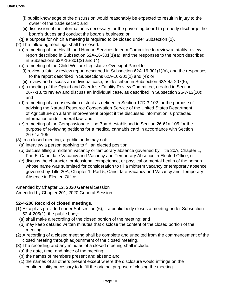- (i) public knowledge of the discussion would reasonably be expected to result in injury to the owner of the trade secret; and
- (ii) discussion of the information is necessary for the governing board to properly discharge the board's duties and conduct the board's business; or
- (q) a purpose for which a meeting is required to be closed under Subsection (2).
- (2) The following meetings shall be closed:
	- (a) a meeting of the Health and Human Services Interim Committee to review a fatality review report described in Subsection 62A-16-301(1)(a), and the responses to the report described in Subsections 62A-16-301(2) and (4);
	- (b) a meeting of the Child Welfare Legislative Oversight Panel to:
		- (i) review a fatality review report described in Subsection 62A-16-301(1)(a), and the responses to the report described in Subsections 62A-16-301(2) and (4); or
		- (ii) review and discuss an individual case, as described in Subsection 62A-4a-207(5);
	- (c) a meeting of the Opioid and Overdose Fatality Review Committee, created in Section 26-7-13, to review and discuss an individual case, as described in Subsection 26-7-13(10); and
	- (d) a meeting of a conservation district as defined in Section 17D-3-102 for the purpose of advising the Natural Resource Conservation Service of the United States Department of Agriculture on a farm improvement project if the discussed information is protected information under federal law; and
	- (e) a meeting of the Compassionate Use Board established in Section 26-61a-105 for the purpose of reviewing petitions for a medical cannabis card in accordance with Section 26-61a-105.
- (3) In a closed meeting, a public body may not:
	- (a) interview a person applying to fill an elected position;
	- (b) discuss filling a midterm vacancy or temporary absence governed by Title 20A, Chapter 1, Part 5, Candidate Vacancy and Vacancy and Temporary Absence in Elected Office; or
	- (c) discuss the character, professional competence, or physical or mental health of the person whose name was submitted for consideration to fill a midterm vacancy or temporary absence governed by Title 20A, Chapter 1, Part 5, Candidate Vacancy and Vacancy and Temporary Absence in Elected Office.

Amended by Chapter 12, 2020 General Session Amended by Chapter 201, 2020 General Session

#### **52-4-206 Record of closed meetings.**

- (1) Except as provided under Subsection (6), if a public body closes a meeting under Subsection 52-4-205(1), the public body:
	- (a) shall make a recording of the closed portion of the meeting; and
	- (b) may keep detailed written minutes that disclose the content of the closed portion of the meeting.
- (2) A recording of a closed meeting shall be complete and unedited from the commencement of the closed meeting through adjournment of the closed meeting.
- (3) The recording and any minutes of a closed meeting shall include:
	- (a) the date, time, and place of the meeting;
	- (b) the names of members present and absent; and
	- (c) the names of all others present except where the disclosure would infringe on the confidentiality necessary to fulfill the original purpose of closing the meeting.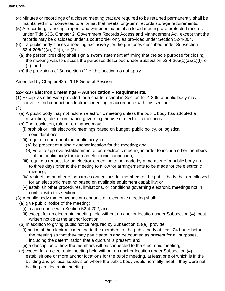- (4) Minutes or recordings of a closed meeting that are required to be retained permanently shall be maintained in or converted to a format that meets long-term records storage requirements.
- (5) A recording, transcript, report, and written minutes of a closed meeting are protected records under Title 63G, Chapter 2, Government Records Access and Management Act, except that the records may be disclosed under a court order only as provided under Section 52-4-304.
- (6) If a public body closes a meeting exclusively for the purposes described under Subsection 52-4-205(1)(a), (1)(f), or (2):
	- (a) the person presiding shall sign a sworn statement affirming that the sole purpose for closing the meeting was to discuss the purposes described under Subsection 52-4-205(1)(a),(1)(f), or (2); and
	- (b) the provisions of Subsection (1) of this section do not apply.

Amended by Chapter 425, 2018 General Session

#### **52-4-207 Electronic meetings -- Authorization -- Requirements.**

(1) Except as otherwise provided for a charter school in Section 52-4-209, a public body may convene and conduct an electronic meeting in accordance with this section.

(2)

- (a) A public body may not hold an electronic meeting unless the public body has adopted a resolution, rule, or ordinance governing the use of electronic meetings.
- (b) The resolution, rule, or ordinance may:
	- (i) prohibit or limit electronic meetings based on budget, public policy, or logistical considerations;
	- (ii) require a quorum of the public body to:
		- (A) be present at a single anchor location for the meeting; and
		- (B) vote to approve establishment of an electronic meeting in order to include other members of the public body through an electronic connection;
	- (iii) require a request for an electronic meeting to be made by a member of a public body up to three days prior to the meeting to allow for arrangements to be made for the electronic meeting;
	- (iv) restrict the number of separate connections for members of the public body that are allowed for an electronic meeting based on available equipment capability; or
	- (v) establish other procedures, limitations, or conditions governing electronic meetings not in conflict with this section.
- (3) A public body that convenes or conducts an electronic meeting shall:
	- (a) give public notice of the meeting:
		- (i) in accordance with Section 52-4-202; and
		- (ii) except for an electronic meeting held without an anchor location under Subsection (4), post written notice at the anchor location;
	- (b) in addition to giving public notice required by Subsection (3)(a), provide:
		- (i) notice of the electronic meeting to the members of the public body at least 24 hours before the meeting so that they may participate in and be counted as present for all purposes, including the determination that a quorum is present; and
		- (ii) a description of how the members will be connected to the electronic meeting;
	- (c) except for an electronic meeting held without an anchor location under Subsection (4), establish one or more anchor locations for the public meeting, at least one of which is in the building and political subdivision where the public body would normally meet if they were not holding an electronic meeting;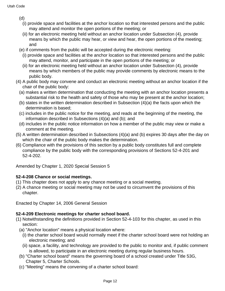(d)

- (i) provide space and facilities at the anchor location so that interested persons and the public may attend and monitor the open portions of the meeting; or
- (ii) for an electronic meeting held without an anchor location under Subsection (4), provide means by which the public may hear, or view and hear, the open portions of the meeting; and
- (e) if comments from the public will be accepted during the electronic meeting:
	- (i) provide space and facilities at the anchor location so that interested persons and the public may attend, monitor, and participate in the open portions of the meeting; or
	- (ii) for an electronic meeting held without an anchor location under Subsection (4), provide means by which members of the public may provide comments by electronic means to the public body.
- (4) A public body may convene and conduct an electronic meeting without an anchor location if the chair of the public body:
	- (a) makes a written determination that conducting the meeting with an anchor location presents a substantial risk to the health and safety of those who may be present at the anchor location;
	- (b) states in the written determination described in Subsection (4)(a) the facts upon which the determination is based;
	- (c) includes in the public notice for the meeting, and reads at the beginning of the meeting, the information described in Subsections (4)(a) and (b); and
	- (d) includes in the public notice information on how a member of the public may view or make a comment at the meeting.
- (5) A written determination described in Subsections (4)(a) and (b) expires 30 days after the day on which the chair of the public body makes the determination.
- (6) Compliance with the provisions of this section by a public body constitutes full and complete compliance by the public body with the corresponding provisions of Sections 52-4-201 and 52-4-202.

Amended by Chapter 1, 2020 Special Session 5

#### **52-4-208 Chance or social meetings.**

- (1) This chapter does not apply to any chance meeting or a social meeting.
- (2) A chance meeting or social meeting may not be used to circumvent the provisions of this chapter.

Enacted by Chapter 14, 2006 General Session

#### **52-4-209 Electronic meetings for charter school board.**

- (1) Notwithstanding the definitions provided in Section 52-4-103 for this chapter, as used in this section:
	- (a) "Anchor location" means a physical location where:
		- (i) the charter school board would normally meet if the charter school board were not holding an electronic meeting; and
		- (ii) space, a facility, and technology are provided to the public to monitor and, if public comment is allowed, to participate in an electronic meeting during regular business hours.
	- (b) "Charter school board" means the governing board of a school created under Title 53G, Chapter 5, Charter Schools.
	- (c) "Meeting" means the convening of a charter school board: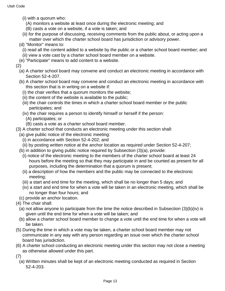- (i) with a quorum who:
	- (A) monitors a website at least once during the electronic meeting; and
	- (B) casts a vote on a website, if a vote is taken; and
- (ii) for the purpose of discussing, receiving comments from the public about, or acting upon a matter over which the charter school board has jurisdiction or advisory power.
- (d) "Monitor" means to:
	- (i) read all the content added to a website by the public or a charter school board member; and
	- (ii) view a vote cast by a charter school board member on a website.
- (e) "Participate" means to add content to a website.

(2)

- (a) A charter school board may convene and conduct an electronic meeting in accordance with Section 52-4-207.
- (b) A charter school board may convene and conduct an electronic meeting in accordance with this section that is in writing on a website if:
	- (i) the chair verifies that a quorum monitors the website;
	- (ii) the content of the website is available to the public;
	- (iii) the chair controls the times in which a charter school board member or the public participates; and
	- (iv) the chair requires a person to identify himself or herself if the person:
		- (A) participates; or
		- (B) casts a vote as a charter school board member.
- (3) A charter school that conducts an electronic meeting under this section shall:
	- (a) give public notice of the electronic meeting:
		- (i) in accordance with Section 52-4-202; and
	- (ii) by posting written notice at the anchor location as required under Section 52-4-207;
	- (b) in addition to giving public notice required by Subsection (3)(a), provide:
		- (i) notice of the electronic meeting to the members of the charter school board at least 24 hours before the meeting so that they may participate in and be counted as present for all purposes, including the determination that a quorum is present;
		- (ii) a description of how the members and the public may be connected to the electronic meeting;
		- (iii) a start and end time for the meeting, which shall be no longer than 5 days; and
		- (iv) a start and end time for when a vote will be taken in an electronic meeting, which shall be no longer than four hours; and
	- (c) provide an anchor location.
- (4) The chair shall:
	- (a) not allow anyone to participate from the time the notice described in Subsection (3)(b)(iv) is given until the end time for when a vote will be taken; and
	- (b) allow a charter school board member to change a vote until the end time for when a vote will be taken.
- (5) During the time in which a vote may be taken, a charter school board member may not communicate in any way with any person regarding an issue over which the charter school board has jurisdiction.
- (6) A charter school conducting an electronic meeting under this section may not close a meeting as otherwise allowed under this part.
- (7)
	- (a) Written minutes shall be kept of an electronic meeting conducted as required in Section 52-4-203.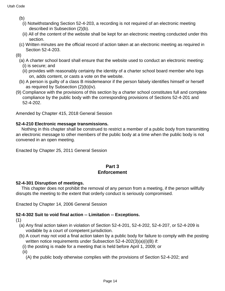(b)

- (i) Notwithstanding Section 52-4-203, a recording is not required of an electronic meeting described in Subsection (2)(b).
- (ii) All of the content of the website shall be kept for an electronic meeting conducted under this section.
- (c) Written minutes are the official record of action taken at an electronic meeting as required in Section 52-4-203.

(8)

- (a) A charter school board shall ensure that the website used to conduct an electronic meeting: (i) is secure; and
	- (ii) provides with reasonably certainty the identity of a charter school board member who logs on, adds content, or casts a vote on the website.
- (b) A person is guilty of a class B misdemeanor if the person falsely identifies himself or herself as required by Subsection (2)(b)(iv).
- (9) Compliance with the provisions of this section by a charter school constitutes full and complete compliance by the public body with the corresponding provisions of Sections 52-4-201 and 52-4-202.

Amended by Chapter 415, 2018 General Session

#### **52-4-210 Electronic message transmissions.**

 Nothing in this chapter shall be construed to restrict a member of a public body from transmitting an electronic message to other members of the public body at a time when the public body is not convened in an open meeting.

Enacted by Chapter 25, 2011 General Session

#### **Part 3 Enforcement**

#### **52-4-301 Disruption of meetings.**

 This chapter does not prohibit the removal of any person from a meeting, if the person willfully disrupts the meeting to the extent that orderly conduct is seriously compromised.

Enacted by Chapter 14, 2006 General Session

#### **52-4-302 Suit to void final action -- Limitation -- Exceptions.**

(1)

- (a) Any final action taken in violation of Section 52-4-201, 52-4-202, 52-4-207, or 52-4-209 is voidable by a court of competent jurisdiction.
- (b) A court may not void a final action taken by a public body for failure to comply with the posting written notice requirements under Subsection 52-4-202(3)(a)(i)(B) if:
	- (i) the posting is made for a meeting that is held before April 1, 2009; or

(ii)

(A) the public body otherwise complies with the provisions of Section 52-4-202; and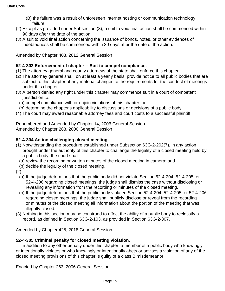- (B) the failure was a result of unforeseen Internet hosting or communication technology failure.
- (2) Except as provided under Subsection (3), a suit to void final action shall be commenced within 90 days after the date of the action.
- (3) A suit to void final action concerning the issuance of bonds, notes, or other evidences of indebtedness shall be commenced within 30 days after the date of the action.

Amended by Chapter 403, 2012 General Session

#### **52-4-303 Enforcement of chapter -- Suit to compel compliance.**

- (1) The attorney general and county attorneys of the state shall enforce this chapter.
- (2) The attorney general shall, on at least a yearly basis, provide notice to all public bodies that are subject to this chapter of any material changes to the requirements for the conduct of meetings under this chapter.
- (3) A person denied any right under this chapter may commence suit in a court of competent jurisdiction to:
	- (a) compel compliance with or enjoin violations of this chapter; or
	- (b) determine the chapter's applicability to discussions or decisions of a public body.
- (4) The court may award reasonable attorney fees and court costs to a successful plaintiff.

Renumbered and Amended by Chapter 14, 2006 General Session Amended by Chapter 263, 2006 General Session

#### **52-4-304 Action challenging closed meeting.**

- (1) Notwithstanding the procedure established under Subsection 63G-2-202(7), in any action brought under the authority of this chapter to challenge the legality of a closed meeting held by a public body, the court shall:
	- (a) review the recording or written minutes of the closed meeting in camera; and
	- (b) decide the legality of the closed meeting.
- (2)
	- (a) If the judge determines that the public body did not violate Section 52-4-204, 52-4-205, or 52-4-206 regarding closed meetings, the judge shall dismiss the case without disclosing or revealing any information from the recording or minutes of the closed meeting.
	- (b) If the judge determines that the public body violated Section 52-4-204, 52-4-205, or 52-4-206 regarding closed meetings, the judge shall publicly disclose or reveal from the recording or minutes of the closed meeting all information about the portion of the meeting that was illegally closed.
- (3) Nothing in this section may be construed to affect the ability of a public body to reclassify a record, as defined in Section 63G-2-103, as provided in Section 63G-2-307.

Amended by Chapter 425, 2018 General Session

#### **52-4-305 Criminal penalty for closed meeting violation.**

 In addition to any other penalty under this chapter, a member of a public body who knowingly or intentionally violates or who knowingly or intentionally abets or advises a violation of any of the closed meeting provisions of this chapter is guilty of a class B misdemeanor.

Enacted by Chapter 263, 2006 General Session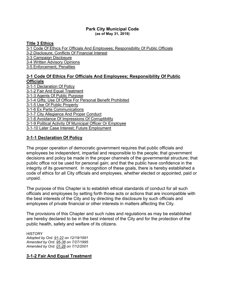#### **Park City Municipal Code [\(as of May 31, 2019\)](https://parkcity.municipalcodeonline.com/book?type=ordinances#name=3_Ethics)**

#### **[Title 3 Ethics](https://parkcity.municipalcodeonline.com/book?type=ordinances#name=3_Ethics)**

[3-1 Code Of Ethics For Officials And Employees; Responsibility Of Public Officials](https://parkcity.municipalcodeonline.com/book?type=ordinances#name=3-1_Code_Of_Ethics_For_Officials_And_Employees;_Responsibility_Of_Public_Officials) [3-2 Disclosure; Conflicts Of Financial Interest](https://parkcity.municipalcodeonline.com/book?type=ordinances#name=3-2_Disclosure;_Conflicts_Of_Financial_Interest) [3-3 Campaign Disclosure](https://parkcity.municipalcodeonline.com/book?type=ordinances#name=3-3_Campaign_Disclosure)

[3-4 Written Advisory Opinions](https://parkcity.municipalcodeonline.com/book?type=ordinances#name=3-4_Written_Advisory_Opinions)

[3-5 Enforcement; Penalties](https://parkcity.municipalcodeonline.com/book?type=ordinances#name=3-5_Enforcement;_Penalties)

#### **[3-1 Code Of Ethics For Officials And Employees; Responsibility Of Public](https://parkcity.municipalcodeonline.com/book?type=ordinances#name=3-1_Code_Of_Ethics_For_Officials_And_Employees;_Responsibility_Of_Public_Officials)  [Officials](https://parkcity.municipalcodeonline.com/book?type=ordinances#name=3-1_Code_Of_Ethics_For_Officials_And_Employees;_Responsibility_Of_Public_Officials)**

[3-1-1 Declaration Of Policy](https://parkcity.municipalcodeonline.com/book?type=ordinances#name=3-1-1_Declaration_Of_Policy) [3-1-2 Fair And Equal Treatment](https://parkcity.municipalcodeonline.com/book?type=ordinances#name=3-1-2_Fair_And_Equal_Treatment) [3-1-3 Agents Of Public Purpose](https://parkcity.municipalcodeonline.com/book?type=ordinances#name=3-1-3_Agents_Of_Public_Purpose) [3-1-4 Gifts; Use Of Office For Personal Benefit Prohibited](https://parkcity.municipalcodeonline.com/book?type=ordinances#name=3-1-4_Gifts;_Use_Of_Office_For_Personal_Benefit_Prohibited) 3-1-5 [Use Of Public Property](https://parkcity.municipalcodeonline.com/book?type=ordinances#name=3-1-5_Use_Of_Public_Property) [3-1-6 Ex Parte Communications](https://parkcity.municipalcodeonline.com/book?type=ordinances#name=3-1-6_Ex_Parte_Communications) [3-1-7 City Allegiance And Proper Conduct](https://parkcity.municipalcodeonline.com/book?type=ordinances#name=3-1-7_City_Allegiance_And_Proper_Conduct) [3-1-8 Avoidance Of Impressions Of Corruptibility](https://parkcity.municipalcodeonline.com/book?type=ordinances#name=3-1-8_Avoidance_Of_Impressions_Of_Corruptibility) [3-1-9 Political Activity Of Municipal Officer Or Employee](https://parkcity.municipalcodeonline.com/book?type=ordinances#name=3-1-9_Political_Activity_Of_Municipal_Officer_Or_Employee) [3-1-10 Later Case Interest; Future Employment](https://parkcity.municipalcodeonline.com/book?type=ordinances#name=3-1-10_Later_Case_Interest;_Future_Employment)

#### **[3-1-1 Declaration Of Policy](https://parkcity.municipalcodeonline.com/book?type=ordinances#name=3-1-1_Declaration_Of_Policy)**

The proper operation of democratic government requires that public officials and employees be independent, impartial and responsible to the people; that government decisions and policy be made in the proper channels of the governmental structure; that public office not be used for personal gain; and that the public have confidence in the integrity of its government. In recognition of these goals, there is hereby established a code of ethics for all City officials and employees, whether elected or appointed, paid or unpaid.

The purpose of this Chapter is to establish ethical standards of conduct for all such officials and employees by setting forth those acts or actions that are incompatible with the best interests of the City and by directing the disclosure by such officials and employees of private financial or other interests in matters affecting the City.

The provisions of this Chapter and such rules and regulations as may be established are hereby declared to be in the best interest of the City and for the protection of the public health, safety and welfare of its citizens.

**HISTORY** *Adopted by Ord. [91-22](https://s3-us-west-2.amazonaws.com/municipalcodeonline.com-new/parkcity/ordinances/documents/91-22.pdf) on 12/19/1991 Amended by Ord. [95-38](https://s3-us-west-2.amazonaws.com/municipalcodeonline.com-new/parkcity/ordinances/documents/95-38.pdf) on 7/27/1995 Amended by Ord. [01-26](https://s3-us-west-2.amazonaws.com/municipalcodeonline.com-new/parkcity/ordinances/documents/01-26.pdf) on 7/12/2001*

#### **[3-1-2 Fair And Equal Treatment](https://parkcity.municipalcodeonline.com/book?type=ordinances#name=3-1-2_Fair_And_Equal_Treatment)**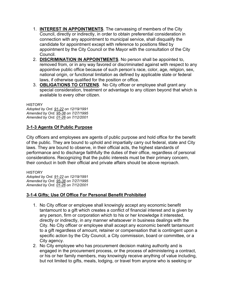- 1. **INTEREST IN APPOINTMENTS**. The canvassing of members of the City Council, directly or indirectly, in order to obtain preferential consideration in connection with any appointment to municipal service, shall disqualify the candidate for appointment except with reference to positions filled by appointment by the City Council or the Mayor with the consultation of the City Council.
- 2. **DISCRIMINATION IN APPOINTMENTS**. No person shall be appointed to, removed from, or in any way favored or discriminated against with respect to any appointive public office because of such person's race, color, age, religion, sex, national origin, or functional limitation as defined by applicable state or federal laws, if otherwise qualified for the position or office.
- 3. **OBLIGATIONS TO CITIZENS**. No City officer or employee shall grant any special consideration, treatment or advantage to any citizen beyond that which is available to every other citizen.

**HISTORY** 

*Adopted by Ord. [91-22](https://s3-us-west-2.amazonaws.com/municipalcodeonline.com-new/parkcity/ordinances/documents/91-22.pdf) on 12/19/1991 Amended by Ord. [95-38](https://s3-us-west-2.amazonaws.com/municipalcodeonline.com-new/parkcity/ordinances/documents/95-38.pdf) on 7/27/1995 Amended by Ord. [01-26](https://s3-us-west-2.amazonaws.com/municipalcodeonline.com-new/parkcity/ordinances/documents/01-26.pdf) on 7/12/2001*

#### **[3-1-3 Agents Of Public Purpose](https://parkcity.municipalcodeonline.com/book?type=ordinances#name=3-1-3_Agents_Of_Public_Purpose)**

City officers and employees are agents of public purpose and hold office for the benefit of the public. They are bound to uphold and impartially carry out federal, state and City laws. They are bound to observe, in their official acts, the highest standards of performance and to discharge faithfully the duties of their office, regardless of personal considerations. Recognizing that the public interests must be their primary concern, their conduct in both their official and private affairs should be above reproach.

**HISTORY** *Adopted by Ord. [91-22](https://s3-us-west-2.amazonaws.com/municipalcodeonline.com-new/parkcity/ordinances/documents/91-22.pdf) on 12/19/1991 Amended by Ord. [95-38](https://s3-us-west-2.amazonaws.com/municipalcodeonline.com-new/parkcity/ordinances/documents/95-38.pdf) on 7/27/1995 Amended by Ord. [01-26](https://s3-us-west-2.amazonaws.com/municipalcodeonline.com-new/parkcity/ordinances/documents/01-26.pdf) on 7/12/2001*

#### **[3-1-4 Gifts; Use Of Office For Personal Benefit Prohibited](https://parkcity.municipalcodeonline.com/book?type=ordinances#name=3-1-4_Gifts;_Use_Of_Office_For_Personal_Benefit_Prohibited)**

- 1. No City officer or employee shall knowingly accept any economic benefit tantamount to a gift which creates a conflict of financial interest and is given by any person, firm or corporation which to his or her knowledge it interested, directly or indirectly, in any manner whatsoever in business dealings with the City. No City officer or employee shall accept any economic benefit tantamount to a gift regardless of amount, retainer or compensation that is contingent upon a specific action by the City Council, a City commission, board or committee, or a City agency.
- 2. No City employee who has procurement decision making authority and is engaged in the procurement process, or the process of administering a contract, or his or her family members, may knowingly receive anything of value including, but not limited to gifts, meals, lodging, or travel from anyone who is seeking or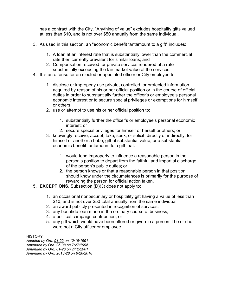has a contract with the City. "Anything of value" excludes hospitality gifts valued at less than \$10, and is not over \$50 annually from the same individual.

- 3. As used in this section, an "economic benefit tantamount to a gift" includes:
	- 1. A loan at an interest rate that is substantially lower than the commercial rate then currently prevalent for similar loans; and
	- 2. Compensation received for private services rendered at a rate substantially exceeding the fair market value of the services.
- 4. It is an offense for an elected or appointed officer or City employee to:
	- 1. disclose or improperly use private, controlled, or protected information acquired by reason of his or her official position or in the course of official duties in order to substantially further the officer's or employee's personal economic interest or to secure special privileges or exemptions for himself or others;
	- 2. use or attempt to use his or her official position to:
		- 1. substantially further the officer's or employee's personal economic interest; or
		- 2. secure special privileges for himself or herself or others; or
	- 3. knowingly receive, accept, take, seek, or solicit, directly or indirectly, for himself or another a bribe, gift of substantial value, or a substantial economic benefit tantamount to a gift that:
		- 1. would tend improperly to influence a reasonable person in the person's position to depart from the faithful and impartial discharge of the person's public duties; or
		- 2. the person knows or that a reasonable person in that position should know under the circumstances is primarily for the purpose of rewarding the person for official action taken.
- 5. **EXCEPTIONS**. Subsection (D)(3) does not apply to:
	- 1. an occasional nonpecuniary or hospitality gift having a value of less than \$10, and is not over \$50 total annually from the same individual;
	- 2. an award publicly presented in recognition of services;
	- 3. any bonafide loan made in the ordinary course of business;
	- 4. a political campaign contribution; or
	- 5. any gift which would have been offered or given to a person if he or she were not a City officer or employee.

**HISTORY** 

*Adopted by Ord. [91-22](https://s3-us-west-2.amazonaws.com/municipalcodeonline.com-new/parkcity/ordinances/documents/91-22.pdf) on 12/19/1991 Amended by Ord. [95-38](https://s3-us-west-2.amazonaws.com/municipalcodeonline.com-new/parkcity/ordinances/documents/95-38.pdf) on 7/27/1995 Amended by Ord. [01-26](https://s3-us-west-2.amazonaws.com/municipalcodeonline.com-new/parkcity/ordinances/documents/01-26.pdf) on 7/12/2001 Amended by Ord. [2018-28](https://s3-us-west-2.amazonaws.com/municipalcodeonline.com-new/parkcity/ordinances/documents/2018-28%20Code%20Amendments.pdf) on 6/26/2018*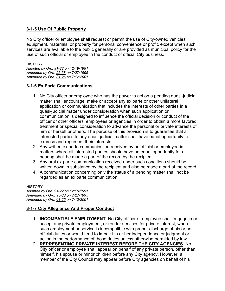#### **[3-1-5 Use Of Public Property](https://parkcity.municipalcodeonline.com/book?type=ordinances#name=3-1-5_Use_Of_Public_Property)**

No City officer or employee shall request or permit the use of City-owned vehicles, equipment, materials, or property for personal convenience or profit, except when such services are available to the public generally or are provided as municipal policy for the use of such official or employee in the conduct of official City business.

**HISTORY** *Adopted by Ord. [91-22](https://s3-us-west-2.amazonaws.com/municipalcodeonline.com-new/parkcity/ordinances/documents/91-22.pdf) on 12/19/1991 Amended by Ord. [95-38](https://s3-us-west-2.amazonaws.com/municipalcodeonline.com-new/parkcity/ordinances/documents/95-38.pdf) on 7/27/1995 Amended by Ord. [01-26](https://s3-us-west-2.amazonaws.com/municipalcodeonline.com-new/parkcity/ordinances/documents/01-26.pdf) on 7/12/2001*

#### **[3-1-6 Ex Parte Communications](https://parkcity.municipalcodeonline.com/book?type=ordinances#name=3-1-6_Ex_Parte_Communications)**

- 1. No City officer or employee who has the power to act on a pending quasi-judicial matter shall encourage, make or accept any ex parte or other unilateral application or communication that includes the interests of other parties in a quasi-judicial matter under consideration when such application or communication is designed to influence the official decision or conduct of the officer or other officers, employees or agencies in order to obtain a more favored treatment or special consideration to advance the personal or private interests of him or herself or others. The purpose of this provision is to guarantee that all interested parties to any quasi-judicial matter shall have equal opportunity to express and represent their interests.
- 2. Any written ex parte communication received by an official or employee in matters where all interested parties should have an equal opportunity for a hearing shall be made a part of the record by the recipient.
- 3. Any oral ex parte communication received under such conditions should be written down in substance by the recipient and also be made a part of the record.
- 4. A communication concerning only the status of a pending matter shall not be regarded as an ex parte communication.

**HISTORY** *Adopted by Ord. [91-22](https://s3-us-west-2.amazonaws.com/municipalcodeonline.com-new/parkcity/ordinances/documents/91-22.pdf) on 12/19/1991 Amended by Ord. [95-38](https://s3-us-west-2.amazonaws.com/municipalcodeonline.com-new/parkcity/ordinances/documents/95-38.pdf) on 7/27/1995 Amended by Ord. [01-26](https://s3-us-west-2.amazonaws.com/municipalcodeonline.com-new/parkcity/ordinances/documents/01-26.pdf) on 7/12/2001*

#### **[3-1-7 City Allegiance And Proper Conduct](https://parkcity.municipalcodeonline.com/book?type=ordinances#name=3-1-7_City_Allegiance_And_Proper_Conduct)**

- 1. **INCOMPATIBLE EMPLOYMENT**. No City officer or employee shall engage in or accept any private employment, or render services for private interest, when such employment or service is incompatible with proper discharge of his or her official duties or would tend to impair his or her independence or judgment or action in the performance of those duties unless otherwise permitted by law.
- 2. **REPRESENTING PRIVATE INTEREST BEFORE THE CITY AGENCIES**. No City officer or employee shall appear on behalf of any private person, other than himself, his spouse or minor children before any City agency. However, a member of the City Council may appear before City agencies on behalf of his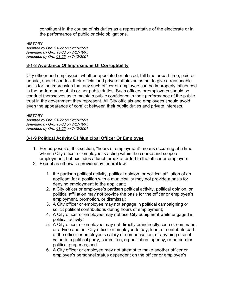constituent in the course of his duties as a representative of the electorate or in the performance of public or civic obligations.

**HISTORY** *Adopted by Ord. [91-22](https://s3-us-west-2.amazonaws.com/municipalcodeonline.com-new/parkcity/ordinances/documents/91-22.pdf) on 12/19/1991 Amended by Ord. [95-38](https://s3-us-west-2.amazonaws.com/municipalcodeonline.com-new/parkcity/ordinances/documents/95-38.pdf) on 7/27/1995 Amended by Ord. [01-26](https://s3-us-west-2.amazonaws.com/municipalcodeonline.com-new/parkcity/ordinances/documents/01-26.pdf) on 7/12/2001*

#### **[3-1-8 Avoidance Of Impressions Of Corruptibility](https://parkcity.municipalcodeonline.com/book?type=ordinances#name=3-1-8_Avoidance_Of_Impressions_Of_Corruptibility)**

City officer and employees, whether appointed or elected, full time or part time, paid or unpaid, should conduct their official and private affairs so as not to give a reasonable basis for the impression that any such officer or employee can be improperly influenced in the performance of his or her public duties. Such officers or employees should so conduct themselves as to maintain public confidence in their performance of the public trust in the government they represent. All City officials and employees should avoid even the appearance of conflict between their public duties and private interests.

**HISTORY** *Adopted by Ord. [91-22](https://s3-us-west-2.amazonaws.com/municipalcodeonline.com-new/parkcity/ordinances/documents/91-22.pdf) on 12/19/1991 Amended by Ord. [95-38](https://s3-us-west-2.amazonaws.com/municipalcodeonline.com-new/parkcity/ordinances/documents/95-38.pdf) on 7/27/1995 Amended by Ord. [01-26](https://s3-us-west-2.amazonaws.com/municipalcodeonline.com-new/parkcity/ordinances/documents/01-26.pdf) on 7/12/2001*

#### **[3-1-9 Political Activity Of Municipal Officer Or Employee](https://parkcity.municipalcodeonline.com/book?type=ordinances#name=3-1-9_Political_Activity_Of_Municipal_Officer_Or_Employee)**

- 1. For purposes of this section, "hours of employment" means occurring at a time when a City officer or employee is acting within the course and scope of employment, but excludes a lunch break afforded to the officer or employee.
- 2. Except as otherwise provided by federal law:
	- 1. the partisan political activity, political opinion, or political affiliation of an applicant for a position with a municipality may not provide a basis for denying employment to the applicant;
	- 2. a City officer or employee's partisan political activity, political opinion, or political affiliation may not provide the basis for the officer or employee's employment, promotion, or dismissal;
	- 3. A City officer or employee may not engage in political campaigning or solicit political contributions during hours of employment;
	- 4. A City officer or employee may not use City equipment while engaged in political activity;
	- 5. A City officer or employee may not directly or indirectly coerce, command, or advise another City officer or employee to pay, lend, or contribute part of the officer or employee's salary or compensation, or anything else of value to a political party, committee, organization, agency, or person for political purposes; and
	- 6. A City officer or employee may not attempt to make another officer or employee's personnel status dependent on the officer or employee's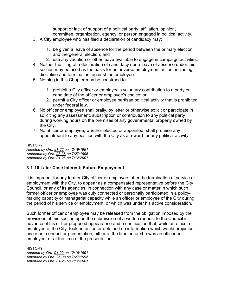support or lack of support of a political party, affiliation, opinion, committee, organization, agency, or person engaged in political activity.

- 3. A City employee who has filed a declaration of candidacy may:
	- 1. be given a leave of absence for the period between the primary election and the general election; and
	- 2. use any vacation or other leave available to engage in campaign activities.
- 4. Neither the filing of a declaration of candidacy nor a leave of absence under this section may be used as the basis for an adverse employment action, including discipline and termination, against the employee.
- 5. Nothing in this Chapter may be construed to:
	- 1. prohibit a City officer or employee's voluntary contribution to a party or candidate of the officer or employee's choice; or
	- 2. permit a City officer or employee partisan political activity that is prohibited under federal law.
- 6. No officer or employee shall orally, by letter or otherwise solicit or participate in soliciting any assessment, subscription or contribution to any political party during working hours on the premises of any governmental property owned by the City.
- 7. No officer or employee, whether elected or appointed, shall promise any appointment to any position with the City as a reward for any political activity.

**HISTORY** *Adopted by Ord. [91-22](https://s3-us-west-2.amazonaws.com/municipalcodeonline.com-new/parkcity/ordinances/documents/91-22.pdf) on 12/19/1991 Amended by Ord. [95-38](https://s3-us-west-2.amazonaws.com/municipalcodeonline.com-new/parkcity/ordinances/documents/95-38.pdf) on 7/27/1995 Amended by Ord. [01-26](https://s3-us-west-2.amazonaws.com/municipalcodeonline.com-new/parkcity/ordinances/documents/01-26.pdf) on 7/12/2001*

#### **[3-1-10 Later Case Interest; Future Employment](https://parkcity.municipalcodeonline.com/book?type=ordinances#name=3-1-10_Later_Case_Interest;_Future_Employment)**

It is improper for any former City officer or employee, after the termination of service or employment with the City, to appear as a compensated representative before the City Council, or any of its agencies, in connection with any case or matter in which such former officer or employee was duly connected or personally participated in a policymaking capacity or managerial capacity while an officer or employee of the City during the period of his service or employment, or which was under his active consideration.

Such former officer or employee may be released from the obligation imposed by the provisions of this section upon the submission of a written request to the Council in advance of his or her proposed appearance and a certification that, while an officer or employee of the City, took no action or obtained no information which would prejudice his or her conduct or presentation, either at the time he or she was an officer or employee, or at the time of the presentation.

**HISTORY** *Adopted by Ord. [91-22](https://s3-us-west-2.amazonaws.com/municipalcodeonline.com-new/parkcity/ordinances/documents/91-22.pdf) on 12/19/1991 Amended by Ord. [95-38](https://s3-us-west-2.amazonaws.com/municipalcodeonline.com-new/parkcity/ordinances/documents/95-38.pdf) on 7/27/1995 Amended by Ord. [01-26](https://s3-us-west-2.amazonaws.com/municipalcodeonline.com-new/parkcity/ordinances/documents/01-26.pdf) on 7/12/2001*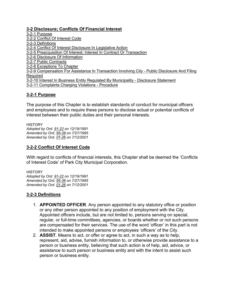#### **[3-2 Disclosure; Conflicts Of Financial Interest](https://parkcity.municipalcodeonline.com/book?type=ordinances#name=3-2_Disclosure;_Conflicts_Of_Financial_Interest)**

[3-2-1 Purpose](https://parkcity.municipalcodeonline.com/book?type=ordinances#name=3-2-1_Purpose) [3-2-2 Conflict Of Interest Code](https://parkcity.municipalcodeonline.com/book?type=ordinances#name=3-2-2_Conflict_Of_Interest_Code) [3-2-3 Definitions](https://parkcity.municipalcodeonline.com/book?type=ordinances#name=3-2-3_Definitions) [3-2-4 Conflict Of Interest Disclosure In Legislative Action](https://parkcity.municipalcodeonline.com/book?type=ordinances#name=3-2-4_Conflict_Of_Interest_Disclosure_In_Legislative_Action) [3-2-5 Preacquisition Of Interest; Interest In Contract Or Transaction](https://parkcity.municipalcodeonline.com/book?type=ordinances#name=3-2-5_Preacquisition_Of_Interest;_Interest_In_Contract_Or_Transaction) [3-2-6 Disclosure Of Information](https://parkcity.municipalcodeonline.com/book?type=ordinances#name=3-2-6_Disclosure_Of_Information) [3-2-7 Public Contracts](https://parkcity.municipalcodeonline.com/book?type=ordinances#name=3-2-7_Public_Contracts) [3-2-8 Exceptions](https://parkcity.municipalcodeonline.com/book?type=ordinances#name=3-2-8_Exceptions_To_Chapter) To Chapter [3-2-9 Compensation For Assistance In Transaction Involving City -](https://parkcity.municipalcodeonline.com/book?type=ordinances#name=3-2-9_Compensation_For_Assistance_In_Transaction_Involving_City_-_Public_Disclosure_And_Filing_Required) Public Disclosure And Filing **[Required](https://parkcity.municipalcodeonline.com/book?type=ordinances#name=3-2-9_Compensation_For_Assistance_In_Transaction_Involving_City_-_Public_Disclosure_And_Filing_Required)** [3-2-10 Interest In Business Entity Regulated By Municipality -](https://parkcity.municipalcodeonline.com/book?type=ordinances#name=3-2-10_Interest_In_Business_Entity_Regulated_By_Municipality_-_Disclosure_Statement) Disclosure Statement [3-2-11 Complaints Charging Violations -](https://parkcity.municipalcodeonline.com/book?type=ordinances#name=3-2-11_Complaints_Charging_Violations_-_Procedure) Procedure

#### **[3-2-1 Purpose](https://parkcity.municipalcodeonline.com/book?type=ordinances#name=3-2-1_Purpose)**

The purpose of this Chapter is to establish standards of conduct for municipal officers and employees and to require these persons to disclose actual or potential conflicts of interest between their public duties and their personal interests.

**HISTORY** *Adopted by Ord. [91-22](https://s3-us-west-2.amazonaws.com/municipalcodeonline.com-new/parkcity/ordinances/documents/91-22.pdf) on 12/19/1991 Amended by Ord. [95-38](https://s3-us-west-2.amazonaws.com/municipalcodeonline.com-new/parkcity/ordinances/documents/95-38.pdf) on 7/27/1995 Amended by Ord. [01-26](https://s3-us-west-2.amazonaws.com/municipalcodeonline.com-new/parkcity/ordinances/documents/01-26.pdf) on 7/12/2001*

#### **[3-2-2 Conflict Of Interest Code](https://parkcity.municipalcodeonline.com/book?type=ordinances#name=3-2-2_Conflict_Of_Interest_Code)**

With regard to conflicts of financial interests, this Chapter shall be deemed the 'Conflicts of Interest Code' of Park City Municipal Corporation.

**HISTORY** *Adopted by Ord. [91-22](https://s3-us-west-2.amazonaws.com/municipalcodeonline.com-new/parkcity/ordinances/documents/91-22.pdf) on 12/19/1991 Amended by Ord. [95-38](https://s3-us-west-2.amazonaws.com/municipalcodeonline.com-new/parkcity/ordinances/documents/95-38.pdf) on 7/27/1995 Amended by Ord. [01-26](https://s3-us-west-2.amazonaws.com/municipalcodeonline.com-new/parkcity/ordinances/documents/01-26.pdf) on 7/12/2001*

#### **[3-2-3 Definitions](https://parkcity.municipalcodeonline.com/book?type=ordinances#name=3-2-3_Definitions)**

- 1. **APPOINTED OFFICER**. Any person appointed to any statutory office or position or any other person appointed to any position of employment with the City. Appointed officers include, but are not limited to, persons serving on special, regular, or full-time committees, agencies, or boards whether or not such persons are compensated for their services. The use of the word 'officer' in this part is not intended to make appointed persons or employees 'officers' of the City.
- 2. **ASSIST**. Means to act, or offer or agree to act, in such a way as to help, represent, aid, advise, furnish information to, or otherwise provide assistance to a person or business entity, believing that such action is of help, aid, advice, or assistance to such person or business entity and with the intent to assist such person or business entity.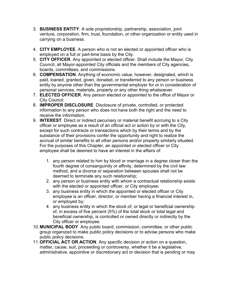- 3. **BUSINESS ENTITY**. A sole proprietorship, partnership, association, joint venture, corporation, firm, trust, foundation, or other organization or entity used in carrying on a business.
- 4. **CITY EMPLOYEE**. A person who is not an elected or appointed officer who is employed on a full or part-time basis by the City.
- 5. **CITY OFFICER**. Any appointed or elected officer. Shall include the Mayor, City Council, all Mayor-appointed City officials and the members of City agencies, boards, committees, and commissions.
- 6. **COMPENSATION**. Anything of economic value, however, designated, which is paid, loaned, granted, given, donated, or transferred to any person or business entity by anyone other than the governmental employer for or in consideration of personal services, materials, property or any other thing whatsoever.
- 7. **ELECTED OFFICER**. Any person elected or appointed to the office of Mayor or City Council.
- 8. **IMPROPER DISCLOSURE**. Disclosure of private, controlled, or protected information to any person who does not have both the right and the need to receive the information.
- 9. **INTEREST**. Direct or indirect pecuniary or material benefit accruing to a City officer or employee as a result of an official act or action by or with the City, except for such contracts or transactions which by their terms and by the substance of their provisions confer the opportunity and right to realize the accrual of similar benefits to all other persons and/or property similarly situated. For the purposes of this Chapter, an appointed or elected officer or City employee shall be deemed to have an interest in the affairs of:
	- 1. any person related to him by blood or marriage in a degree closer than the fourth degree of consanguinity or affinity, determined by the civil law method, and a divorce or separation between spouses shall not be deemed to terminate any such relationship;
	- 2. any person or business entity with whom a contractual relationship exists with the elected or appointed officer, or City employee;
	- 3. any business entity in which the appointed or elected officer or City employee is an officer, director, or member having a financial interest in, or employed by;
	- 4. any business entity in which the stock of, or legal or beneficial ownership of, in excess of five percent (5%) of the total stock or total legal and beneficial ownership, is controlled or owned directly or indirectly by the City officer or employee.
- 10.**MUNICIPAL BODY**. Any public board, commission, committee, or other public group organized to make public policy decisions or to advise persons who make public policy decisions.
- 11.**OFFICIAL ACT OR ACTION**. Any specific decision or action on a question, matter, cause, suit, proceeding or controversy, whether it be a legislative, administrative, appointive or discretionary act or decision that is pending or may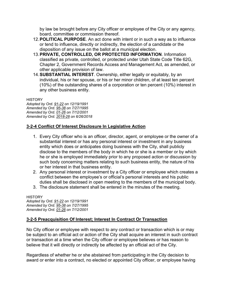by law be brought before any City officer or employee of the City or any agency, board, committee or commission thereof.

- 12.**POLITICAL PURPOSE**. An act done with intent or in such a way as to influence or tend to influence, directly or indirectly, the election of a candidate or the disposition of any issue on the ballot at a municipal election.
- 13.**PRIVATE, CONTROLLED, OR PROTECTED INFORMATION**. Information classified as private, controlled, or protected under Utah State Code Title 62G, Chapter 2, Government Records Access and Management Act, as amended, or other applicable provision of law.
- 14.**SUBSTANTIAL INTEREST**. Ownership, either legally or equitably, by an individual, his or her spouse, or his or her minor children, of at least ten percent (10%) of the outstanding shares of a corporation or ten percent (10%) interest in any other business entity.

**HISTORY** 

*Adopted by Ord. [91-22](https://s3-us-west-2.amazonaws.com/municipalcodeonline.com-new/parkcity/ordinances/documents/91-22.pdf) on 12/19/1991 Amended by Ord. [95-38](https://s3-us-west-2.amazonaws.com/municipalcodeonline.com-new/parkcity/ordinances/documents/95-38.pdf) on 7/27/1995 Amended by Ord. [01-26](https://s3-us-west-2.amazonaws.com/municipalcodeonline.com-new/parkcity/ordinances/documents/01-26.pdf) on 7/12/2001 Amended by Ord. [2018-28](https://s3-us-west-2.amazonaws.com/municipalcodeonline.com-new/parkcity/ordinances/documents/2018-28%20Code%20Amendments.pdf) on 6/26/2018*

#### **[3-2-4 Conflict Of Interest Disclosure In Legislative Action](https://parkcity.municipalcodeonline.com/book?type=ordinances#name=3-2-4_Conflict_Of_Interest_Disclosure_In_Legislative_Action)**

- 1. Every City officer who is an officer, director, agent, or employee or the owner of a substantial interest or has any personal interest or investment in any business entity which does or anticipates doing business with the City, shall publicly disclose to the members of the body in which he or she is a member or by which he or she is employed immediately prior to any proposed action or discussion by such body concerning matters relating to such business entity, the nature of his or her interest in that business entity.
- 2. Any personal interest or investment by a City officer or employee which creates a conflict between the employee's or official's personal interests and his public duties shall be disclosed in open meeting to the members of the municipal body.
- 3. The disclosure statement shall be entered in the minutes of the meeting.

**HISTORY** *Adopted by Ord. [91-22](https://s3-us-west-2.amazonaws.com/municipalcodeonline.com-new/parkcity/ordinances/documents/91-22.pdf) on 12/19/1991 Amended by Ord. [95-38](https://s3-us-west-2.amazonaws.com/municipalcodeonline.com-new/parkcity/ordinances/documents/95-38.pdf) on 7/27/1995 Amended by Ord. [01-26](https://s3-us-west-2.amazonaws.com/municipalcodeonline.com-new/parkcity/ordinances/documents/01-26.pdf) on 7/12/2001*

#### **[3-2-5 Preacquisition Of Interest; Interest In Contract Or Transaction](https://parkcity.municipalcodeonline.com/book?type=ordinances#name=3-2-5_Preacquisition_Of_Interest;_Interest_In_Contract_Or_Transaction)**

No City officer or employee with respect to any contract or transaction which is or may be subject to an official act or action of the City shall acquire an interest in such contract or transaction at a time when the City officer or employee believes or has reason to believe that it will directly or indirectly be affected by an official act of the City.

Regardless of whether he or she abstained from participating in the City decision to award or enter into a contract, no elected or appointed City officer, or employee having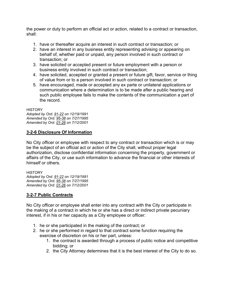the power or duty to perform an official act or action, related to a contract or transaction, shall:

- 1. have or thereafter acquire an interest in such contract or transaction; or
- 2. have an interest in any business entity representing advising or appearing on behalf of, whether paid or unpaid, any person involved in such contract or transaction; or
- 3. have solicited or accepted present or future employment with a person or business entity involved in such contract or transaction;
- 4. have solicited, accepted or granted a present or future gift, favor, service or thing of value from or to a person involved in such contract or transaction; or
- 5. have encouraged, made or accepted any ex parte or unilateral applications or communication where a determination is to be made after a public hearing and such public employee fails to make the contents of the communication a part of the record.

**HISTORY** *Adopted by Ord. [91-22](https://s3-us-west-2.amazonaws.com/municipalcodeonline.com-new/parkcity/ordinances/documents/91-22.pdf) on 12/19/1991 Amended by Ord. [95-38](https://s3-us-west-2.amazonaws.com/municipalcodeonline.com-new/parkcity/ordinances/documents/95-38.pdf) on 7/27/1995 Amended by Ord. [01-26](https://s3-us-west-2.amazonaws.com/municipalcodeonline.com-new/parkcity/ordinances/documents/01-26.pdf) on 7/12/2001*

#### **[3-2-6 Disclosure Of Information](https://parkcity.municipalcodeonline.com/book?type=ordinances#name=3-2-6_Disclosure_Of_Information)**

No City officer or employee with respect to any contract or transaction which is or may be the subject of an official act or action of the City shall, without proper legal authorization, disclose confidential information concerning the property, government or affairs of the City, or use such information to advance the financial or other interests of himself or others.

**HISTORY** *Adopted by Ord. [91-22](https://s3-us-west-2.amazonaws.com/municipalcodeonline.com-new/parkcity/ordinances/documents/91-22.pdf) on 12/19/1991 Amended by Ord. [95-38](https://s3-us-west-2.amazonaws.com/municipalcodeonline.com-new/parkcity/ordinances/documents/95-38.pdf) on 7/27/1995 Amended by Ord. [01-26](https://s3-us-west-2.amazonaws.com/municipalcodeonline.com-new/parkcity/ordinances/documents/01-26.pdf) on 7/12/2001*

#### **[3-2-7 Public Contracts](https://parkcity.municipalcodeonline.com/book?type=ordinances#name=3-2-7_Public_Contracts)**

No City officer or employee shall enter into any contract with the City or participate in the making of a contract in which he or she has a direct or indirect private pecuniary interest, if in his or her capacity as a City employee or officer:

- 1. he or she participated in the making of the contract; or
- 2. he or she performed in regard to that contract some function requiring the exercise of discretion on his or her part, unless:
	- 1. the contract is awarded through a process of public notice and competitive bidding; or
	- 2. the City Attorney determines that it is the best interest of the City to do so.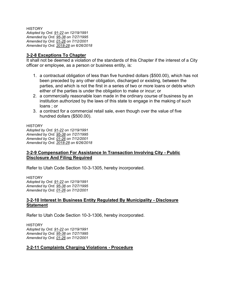**HISTORY** *Adopted by Ord. [91-22](https://s3-us-west-2.amazonaws.com/municipalcodeonline.com-new/parkcity/ordinances/documents/91-22.pdf) on 12/19/1991 Amended by Ord. [95-38](https://s3-us-west-2.amazonaws.com/municipalcodeonline.com-new/parkcity/ordinances/documents/95-38.pdf) on 7/27/1995 Amended by Ord. [01-26](https://s3-us-west-2.amazonaws.com/municipalcodeonline.com-new/parkcity/ordinances/documents/01-26.pdf) on 7/12/2001 Amended by Ord. [2018-28](https://s3-us-west-2.amazonaws.com/municipalcodeonline.com-new/parkcity/ordinances/documents/2018-28%20Code%20Amendments.pdf) on 6/26/2018*

#### **[3-2-8 Exceptions To Chapter](https://parkcity.municipalcodeonline.com/book?type=ordinances#name=3-2-8_Exceptions_To_Chapter)**

It shall not be deemed a violation of the standards of this Chapter if the interest of a City officer or employee, as a person or business entity, is:

- 1. a contractual obligation of less than five hundred dollars (\$500.00), which has not been preceded by any other obligation, discharged or existing, between the parties, and which is not the first in a series of two or more loans or debts which either of the parties is under the obligation to make or incur; or
- 2. a commercially reasonable loan made in the ordinary course of business by an institution authorized by the laws of this state to engage in the making of such loans ; or
- 3. a contract for a commercial retail sale, even though over the value of five hundred dollars (\$500.00).

#### **HISTORY**

*Adopted by Ord. [91-22](https://s3-us-west-2.amazonaws.com/municipalcodeonline.com-new/parkcity/ordinances/documents/91-22.pdf) on 12/19/1991 Amended by Ord. [95-38](https://s3-us-west-2.amazonaws.com/municipalcodeonline.com-new/parkcity/ordinances/documents/95-38.pdf) on 7/27/1995 Amended by Ord. [01-26](https://s3-us-west-2.amazonaws.com/municipalcodeonline.com-new/parkcity/ordinances/documents/01-26.pdf) on 7/12/2001 Amended by Ord. [2018-28](https://s3-us-west-2.amazonaws.com/municipalcodeonline.com-new/parkcity/ordinances/documents/2018-28%20Code%20Amendments.pdf) on 6/26/2018*

#### **[3-2-9 Compensation For Assistance In Transaction Involving City -](https://parkcity.municipalcodeonline.com/book?type=ordinances#name=3-2-9_Compensation_For_Assistance_In_Transaction_Involving_City_-_Public_Disclosure_And_Filing_Required) Public [Disclosure And Filing Required](https://parkcity.municipalcodeonline.com/book?type=ordinances#name=3-2-9_Compensation_For_Assistance_In_Transaction_Involving_City_-_Public_Disclosure_And_Filing_Required)**

Refer to Utah Code Section 10-3-1305, hereby incorporated.

**HISTORY** *Adopted by Ord. [91-22](https://s3-us-west-2.amazonaws.com/municipalcodeonline.com-new/parkcity/ordinances/documents/91-22.pdf) on 12/19/1991 Amended by Ord. [95-38](https://s3-us-west-2.amazonaws.com/municipalcodeonline.com-new/parkcity/ordinances/documents/95-38.pdf) on 7/27/1995 Amended by Ord. [01-26](https://s3-us-west-2.amazonaws.com/municipalcodeonline.com-new/parkcity/ordinances/documents/01-26.pdf) on 7/12/2001*

#### **[3-2-10 Interest In Business Entity Regulated By Municipality -](https://parkcity.municipalcodeonline.com/book?type=ordinances#name=3-2-10_Interest_In_Business_Entity_Regulated_By_Municipality_-_Disclosure_Statement) Disclosure [Statement](https://parkcity.municipalcodeonline.com/book?type=ordinances#name=3-2-10_Interest_In_Business_Entity_Regulated_By_Municipality_-_Disclosure_Statement)**

Refer to Utah Code Section 10-3-1306, hereby incorporated.

**HISTORY** *Adopted by Ord. [91-22](https://s3-us-west-2.amazonaws.com/municipalcodeonline.com-new/parkcity/ordinances/documents/91-22.pdf) on 12/19/1991 Amended by Ord. [95-38](https://s3-us-west-2.amazonaws.com/municipalcodeonline.com-new/parkcity/ordinances/documents/95-38.pdf) on 7/27/1995 Amended by Ord. [01-26](https://s3-us-west-2.amazonaws.com/municipalcodeonline.com-new/parkcity/ordinances/documents/01-26.pdf) on 7/12/2001*

#### **[3-2-11 Complaints Charging Violations -](https://parkcity.municipalcodeonline.com/book?type=ordinances#name=3-2-11_Complaints_Charging_Violations_-_Procedure) Procedure**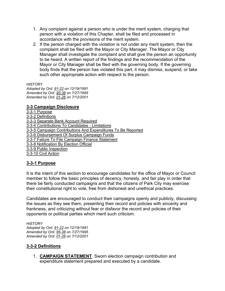- 1. Any complaint against a person who is under the merit system, charging that person with a violation of this Chapter, shall be filed and processed in accordance with the provisions of the merit system.
- 2. If the person charged with the violation is not under any merit system, then the complaint shall be filed with the Mayor or City Manager. The Mayor or City Manager shall investigate the complaint and shall give the person an opportunity to be heard. A written report of the findings and the recommendation of the Mayor or City Manager shall be filed with the governing body. If the governing body finds that the person has violated this part, it may dismiss, suspend, or take such other appropriate action with respect to the person.

**HISTORY** 

*Adopted by Ord. [91-22](https://s3-us-west-2.amazonaws.com/municipalcodeonline.com-new/parkcity/ordinances/documents/91-22.pdf) on 12/19/1991 Amended by Ord. [95-38](https://s3-us-west-2.amazonaws.com/municipalcodeonline.com-new/parkcity/ordinances/documents/95-38.pdf) on 7/27/1995 Amended by Ord. [01-26](https://s3-us-west-2.amazonaws.com/municipalcodeonline.com-new/parkcity/ordinances/documents/01-26.pdf) on 7/12/2001*

#### **[3-3 Campaign Disclosure](https://parkcity.municipalcodeonline.com/book?type=ordinances#name=3-3_Campaign_Disclosure)**

[3-3-1 Purpose](https://parkcity.municipalcodeonline.com/book?type=ordinances#name=3-3-1_Purpose) [3-3-2 Definitions](https://parkcity.municipalcodeonline.com/book?type=ordinances#name=3-3-2_Definitions) [3-3-3 Separate Bank Account Required](https://parkcity.municipalcodeonline.com/book?type=ordinances#name=3-3-3_Separate_Bank_Account_Required) [3-3-4 Contributions To Candidates -](https://parkcity.municipalcodeonline.com/book?type=ordinances#name=3-3-4_Contributions_To_Candidates_-_Limitations) Limitations [3-3-5 Campaign Contributions And Expenditures To Be Reported](https://parkcity.municipalcodeonline.com/book?type=ordinances#name=3-3-5_Campaign_Contributions_And_Expenditures_To_Be_Reported) [3-3-6 Disbursement Of Surplus Campaign Funds](https://parkcity.municipalcodeonline.com/book?type=ordinances#name=3-3-6_Disbursement_Of_Surplus_Campaign_Funds) [3-3-7 Failure To File Campaign Finance Statement](https://parkcity.municipalcodeonline.com/book?type=ordinances#name=3-3-7_Failure_To_File_Campaign_Finance_Statement) [3-3-8 Notification By Election Official](https://parkcity.municipalcodeonline.com/book?type=ordinances#name=3-3-8_Notification_By_Election_Official) [3-3-9 Public Inspection](https://parkcity.municipalcodeonline.com/book?type=ordinances#name=3-3-9_Public_Inspection) [3-3-10 Civil Action](https://parkcity.municipalcodeonline.com/book?type=ordinances#name=3-3-10_Civil_Action)

#### **[3-3-1 Purpose](https://parkcity.municipalcodeonline.com/book?type=ordinances#name=3-3-1_Purpose)**

It is the intent of this section to encourage candidates for the office of Mayor or Council member to follow the basic principles of decency, honesty, and fair play in order that there be fairly conducted campaigns and that the citizens of Park City may exercise their constitutional right to vote, free from dishonest and unethical practices.

Candidates are encouraged to conduct their campaigns openly and publicly, discussing the issues as they see them, presenting their record and policies with sincerity and frankness, and criticizing without fear or disfavor the record and policies of their opponents or political parties which merit such criticism.

**HISTORY** *Adopted by Ord. [91-22](https://s3-us-west-2.amazonaws.com/municipalcodeonline.com-new/parkcity/ordinances/documents/91-22.pdf) on 12/19/1991 Amended by Ord. [95-38](https://s3-us-west-2.amazonaws.com/municipalcodeonline.com-new/parkcity/ordinances/documents/95-38.pdf) on 7/27/1995 Amended by Ord. [01-26](https://s3-us-west-2.amazonaws.com/municipalcodeonline.com-new/parkcity/ordinances/documents/01-26.pdf) on 7/12/2001*

#### **[3-3-2 Definitions](https://parkcity.municipalcodeonline.com/book?type=ordinances#name=3-3-2_Definitions)**

1. **CAMPAIGN STATEMENT**. Sworn election campaign contribution and expenditure statement prepared and executed by a candidate.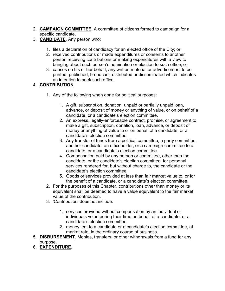- 2. **CAMPAIGN COMMITTEE**. A committee of citizens formed to campaign for a specific candidate.
- 3. **CANDIDATE**. Any person who:
	- 1. files a declaration of candidacy for an elected office of the City; or
	- 2. received contributions or made expenditures or consents to another person receiving contributions or making expenditures with a view to bringing about such person's nomination or election to such office; or
	- 3. causes on his or her behalf, any written material or advertisement to be printed, published, broadcast, distributed or disseminated which indicates an intention to seek such office.

#### 4. **CONTRIBUTION**.

- 1. Any of the following when done for political purposes:
	- 1. A gift, subscription, donation, unpaid or partially unpaid loan, advance, or deposit of money or anything of value, or on behalf of a candidate, or a candidate's election committee.
	- 2. An express, legally-enforceable contract, promise, or agreement to make a gift, subscription, donation, loan, advance, or deposit of money or anything of value to or on behalf of a candidate, or a candidate's election committee.
	- 3. Any transfer of funds from a political committee, a party committee, another candidate, an officeholder, or a campaign committee to a candidate, or a candidate's election committee.
	- 4. Compensation paid by any person or committee, other than the candidate, or the candidate's election committee, for personal services rendered for, but without charge to, the candidate or the candidate's election committee;
	- 5. Goods or services provided at less than fair market value to, or for the benefit of a candidate, or a candidate's election committee.
- 2. For the purposes of this Chapter, contributions other than money or its equivalent shall be deemed to have a value equivalent to the fair market value of the contribution.
- 3. 'Contribution' does not include:
	- 1. services provided without compensation by an individual or individuals volunteering their time on behalf of a candidate, or a candidate's election committee;
	- 2. money lent to a candidate or a candidate's election committee, at market rate, in the ordinary course of business.
- 5. **DISBURSEMENT**. Monies, transfers, or other withdrawals from a fund for any purpose.
- 6. **EXPENDITURE**.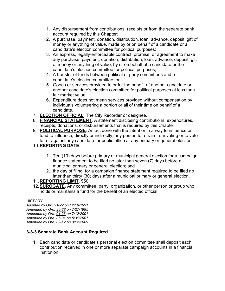- 1. Any disbursement from contributions, receipts or from the separate bank account required by this Chapter;
- 2. A purchase, payment, donation, distribution, loan, advance, deposit, gift of money or anything of value, made by or on behalf of a candidate or a candidate's election committee for political purposes;
- 3. An express, legally-enforceable contract, promise, or agreement to make any purchase, payment, donation, distribution, loan, advance, deposit, gift of money or anything of value, by or on behalf of a candidate or the candidate's election committee for political purposes;
- 4. A transfer of funds between political or party committees and a candidate's election committee; or
- 5. Goods or services provided to or for the benefit of another candidate or another candidate's election committee for political purposes at less than fair market value.
- 6. Expenditure does not mean services provided without compensation by individuals volunteering a portion or all of their time on behalf of a candidate.
- 7. **ELECTION OFFICIAL**. The City Recorder or designee.
- 8. **FINANCIAL STATEMENT**. A statement disclosing contributions, expenditures, receipts, donations, or disbursements that is required by this Chapter.
- 9. **POLITICAL PURPOSE**. An act done with the intent or in a way to influence or tend to influence, directly or indirectly, any person to refrain from voting or to vote for or against any candidate for public office at any primary or general election.

#### 10.**REPORTING DATE**.

- 1. Ten (10) days before primary or municipal general election for a campaign finance statement to be filed no later than seven (7) days before a municipal primary or general election; and
- 2. the day of filing, for a campaign finance statement required to be filed no later than thirty (30) days after a municipal primary or general election.

#### 11.**REPORTING LIMIT**. \$50.

12.**SUROGATE**. Any committee, party, organization, or other person or group who holds or maintains a fund for the benefit of an elected official.

#### **HISTORY**

*Adopted by Ord. [91-22](https://s3-us-west-2.amazonaws.com/municipalcodeonline.com-new/parkcity/ordinances/documents/91-22.pdf) on 12/19/1991 Amended by Ord. [95-38](https://s3-us-west-2.amazonaws.com/municipalcodeonline.com-new/parkcity/ordinances/documents/95-38.pdf) on 7/27/1995 Amended by Ord. [01-26](https://s3-us-west-2.amazonaws.com/municipalcodeonline.com-new/parkcity/ordinances/documents/01-26.pdf) on 7/12/2001 Amended by Ord. [07-31](https://s3-us-west-2.amazonaws.com/municipalcodeonline.com-new/parkcity/ordinances/documents/07-31.pdf) on 5/31/2007 Amended by Ord. [09-12](https://s3-us-west-2.amazonaws.com/municipalcodeonline.com-new/parkcity/ordinances/documents/09-12.pdf) on 3/12/2009*

#### **[3-3-3 Separate Bank Account Required](https://parkcity.municipalcodeonline.com/book?type=ordinances#name=3-3-3_Separate_Bank_Account_Required)**

1. Each candidate or candidate's personal election committee shall deposit each contribution received in one or more separate campaign accounts in a financial institution.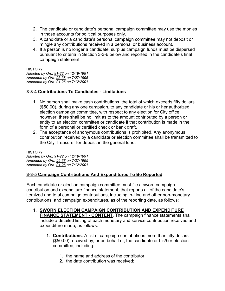- 2. The candidate or candidate's personal campaign committee may use the monies in those accounts for political purposes only.
- 3. A candidate or a candidate's personal campaign committee may not deposit or mingle any contributions received in a personal or business account.
- 4. If a person is no longer a candidate, surplus campaign funds must be dispersed pursuant to criteria in Section 3-3-6 below and reported in the candidate's final campaign statement.

**HISTORY** 

*Adopted by Ord. [91-22](https://s3-us-west-2.amazonaws.com/municipalcodeonline.com-new/parkcity/ordinances/documents/91-22.pdf) on 12/19/1991 Amended by Ord. [95-38](https://s3-us-west-2.amazonaws.com/municipalcodeonline.com-new/parkcity/ordinances/documents/95-38.pdf) on 7/27/1995 Amended by Ord. [01-26](https://s3-us-west-2.amazonaws.com/municipalcodeonline.com-new/parkcity/ordinances/documents/01-26.pdf) on 7/12/2001*

#### **[3-3-4 Contributions To Candidates -](https://parkcity.municipalcodeonline.com/book?type=ordinances#name=3-3-4_Contributions_To_Candidates_-_Limitations) Limitations**

- 1. No person shall make cash contributions, the total of which exceeds fifty dollars (\$50.00), during any one campaign, to any candidate or his or her authorized election campaign committee, with respect to any election for City office; however, there shall be no limit as to the amount contributed by a person or entity to an election committee or candidate if that contribution is made in the form of a personal or certified check or bank draft.
- 2. The acceptance of anonymous contributions is prohibited. Any anonymous contribution received by a candidate or election committee shall be transmitted to the City Treasurer for deposit in the general fund.

**HISTORY** *Adopted by Ord. [91-22](https://s3-us-west-2.amazonaws.com/municipalcodeonline.com-new/parkcity/ordinances/documents/91-22.pdf) on 12/19/1991 Amended by Ord. [95-38](https://s3-us-west-2.amazonaws.com/municipalcodeonline.com-new/parkcity/ordinances/documents/95-38.pdf) on 7/27/1995 Amended by Ord. [01-26](https://s3-us-west-2.amazonaws.com/municipalcodeonline.com-new/parkcity/ordinances/documents/01-26.pdf) on 7/12/2001*

#### **[3-3-5 Campaign Contributions And Expenditures To Be Reported](https://parkcity.municipalcodeonline.com/book?type=ordinances#name=3-3-5_Campaign_Contributions_And_Expenditures_To_Be_Reported)**

Each candidate or election campaign committee must file a sworn campaign contribution and expenditure finance statement, that reports all of the candidate's itemized and total campaign contributions, including in-kind and other non-monetary contributions, and campaign expenditures, as of the reporting date, as follows:

- 1. **SWORN ELECTION CAMPAIGN CONTRIBUTION AND EXPENDITURE FINANCE STATEMENT - CONTENT**. The campaign finance statements shall include a detailed listing of each monetary and service contribution received and expenditure made, as follows:
	- 1. **Contributions**. A list of campaign contributions more than fifty dollars (\$50.00) received by, or on behalf of, the candidate or his/her election committee, including:
		- 1. the name and address of the contributor;
		- 2. the date contribution was received;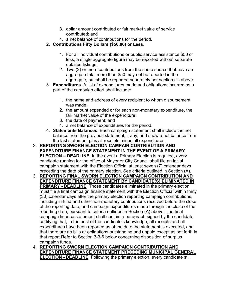- 3. dollar amount contributed or fair market value of service contributed; and
- 4. a net balance of contributions for the period.
- 2. **Contributions Fifty Dollars (\$50.00) or Less**.
	- 1. For all individual contributions or public service assistance \$50 or less, a single aggregate figure may be reported without separate detailed listings.
	- 2. Two (2) or more contributions from the same source that have an aggregate total more than \$50 may not be reported in the aggregate, but shall be reported separately per section (1) above.
- 3. **Expenditures**. A list of expenditures made and obligations incurred as a part of the campaign effort shall include:
	- 1. the name and address of every recipient to whom disbursement was made;
	- 2. the amount expended or for each non-monetary expenditure, the fair market value of the expenditure;
	- 3. the date of payment; and
	- 4. a net balance of expenditures for the period.
- 4. **Statements Balances**. Each campaign statement shall include the net balance from the previous statement, if any, and show a net balance from the last statement plus all receipts minus all expenditures.
- 2. **REPORTING SWORN ELECTION CAMPAIN CONTRIBUTION AND EXPENDITURE FINANCE STATEMENT IN THE EVENT OF A PRIMARY ELECTION – DEADLINE**. In the event a Primary Election is required, every candidate running for the office of Mayor or City Council shall file an initial campaign statement with the Election Official at least seven (7) calendar days preceding the date of the primary election. See criteria outlined in Section (A).
- 3. **REPORTING FINAL SWORN ELECTION CAMPAIGN CONTRIBUTION AND EXPENDITURE FINANCE STATEMENT BY CANDIDATE(S) ELIMINATED IN PRIMARY - DEADLINE**. Those candidates eliminated in the primary election must file a final campaign finance statement with the Election Official within thirty (30) calendar days after the primary election reporting campaign contributions, including in-kind and other non-monetary contributions received before the close of the reporting date, and campaign expenditures made through the close of the reporting date, pursuant to criteria outlined in Section (A) above. The final campaign finance statement shall contain a paragraph signed by the candidate certifying that, to the best of the candidate's knowledge, all receipts and all expenditures have been reported as of the date the statement is executed, and that there are no bills or obligations outstanding and unpaid except as set forth in that report.Refer to Section 3-3-6 below concerning disposition of surplus campaign funds.
- 4. **REPORTING SWORN ELECTION CAMPAIGN CONTRIBUTION AND EXPENDITURE FINANCE STATEMENT PRECEDING MUNICIPAL GENERAL ELECTION - DEADLINE**. Following the primary election, every candidate still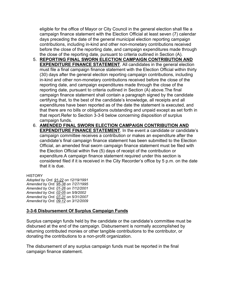eligible for the office of Mayor or City Council in the general election shall file a campaign finance statement with the Election Official at least seven (7) calendar days preceding the date of the general municipal election reporting campaign contributions, including in-kind and other non-monetary contributions received before the close of the reporting date, and campaign expenditures made through the close of the reporting date, pursuant to criteria outlined in Section (A).

- 5. **REPORTING FINAL SWORN ELECTION CAMPAIGN CONTRIBUTION AND EXPENDITURE FINANCE STATEMENT**. All candidates in the general election must file a final campaign finance statement with the Election Official within thirty (30) days after the general election reporting campaign contributions, including in-kind and other non-monetary contributions received before the close of the reporting date, and campaign expenditures made through the close of the reporting date, pursuant to criteria outlined in Section (A) above.The final campaign finance statement shall contain a paragraph signed by the candidate certifying that, to the best of the candidate's knowledge, all receipts and all expenditures have been reported as of the date the statement is executed, and that there are no bills or obligations outstanding and unpaid except as set forth in that report.Refer to Section 3-3-6 below concerning disposition of surplus campaign funds.
- 6. **AMENDED FINAL SWORN ELECTION CAMPAIGN CONTRIBUTION AND EXPENDITURE FINANCE STATEMENT**. In the event a candidate or candidate's campaign committee receives a contribution or makes an expenditure after the candidate's final campaign finance statement has been submitted to the Election Official, an amended final sworn campaign finance statement must be filed with the Election Official within five (5) days of receipt of the contribution or expenditure.A campaign finance statement required under this section is considered filed if it is received in the City Recorder's office by 5 p.m. on the date that it is due.

#### **HISTORY**

*Adopted by Ord. [91-22](https://s3-us-west-2.amazonaws.com/municipalcodeonline.com-new/parkcity/ordinances/documents/91-22.pdf) on 12/19/1991 Amended by Ord. [95-38](https://s3-us-west-2.amazonaws.com/municipalcodeonline.com-new/parkcity/ordinances/documents/95-38.pdf) on 7/27/1995 Amended by Ord. [01-26](https://s3-us-west-2.amazonaws.com/municipalcodeonline.com-new/parkcity/ordinances/documents/01-26.pdf) on 7/12/2001 Amended by Ord. [02-05](https://s3-us-west-2.amazonaws.com/municipalcodeonline.com-new/parkcity/ordinances/documents/02-05.pdf) on 5/9/2002 Amended by Ord. [07-31](https://s3-us-west-2.amazonaws.com/municipalcodeonline.com-new/parkcity/ordinances/documents/07-31.pdf) on 5/31/2007 Amended by Ord. [09-12](https://s3-us-west-2.amazonaws.com/municipalcodeonline.com-new/parkcity/ordinances/documents/09-12.pdf) on 3/12/2009*

#### **[3-3-6 Disbursement Of Surplus Campaign Funds](https://parkcity.municipalcodeonline.com/book?type=ordinances#name=3-3-6_Disbursement_Of_Surplus_Campaign_Funds)**

Surplus campaign funds held by the candidate or the candidate's committee must be disbursed at the end of the campaign. Disbursement is normally accomplished by returning contributed monies or other tangible contributions to the contributor, or donating the contributions to a non-profit organization.

The disbursement of any surplus campaign funds must be reported in the final campaign finance statement.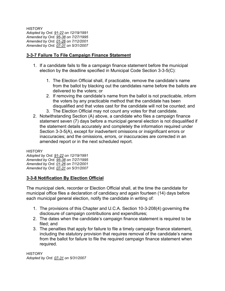**HISTORY** *Adopted by Ord. [91-22](https://s3-us-west-2.amazonaws.com/municipalcodeonline.com-new/parkcity/ordinances/documents/91-22.pdf) on 12/19/1991 Amended by Ord. [95-38](https://s3-us-west-2.amazonaws.com/municipalcodeonline.com-new/parkcity/ordinances/documents/95-38.pdf) on 7/27/1995 Amended by Ord. [01-26](https://s3-us-west-2.amazonaws.com/municipalcodeonline.com-new/parkcity/ordinances/documents/01-26.pdf) on 7/12/2001 Amended by Ord. [07-31](https://s3-us-west-2.amazonaws.com/municipalcodeonline.com-new/parkcity/ordinances/documents/07-31.pdf) on 5/31/2007*

#### **[3-3-7 Failure To File Campaign Finance Statement](https://parkcity.municipalcodeonline.com/book?type=ordinances#name=3-3-7_Failure_To_File_Campaign_Finance_Statement)**

- 1. If a candidate fails to file a campaign finance statement before the municipal election by the deadline specified in Municipal Code Section 3-3-5(C):
	- 1. The Election Official shall, if practicable, remove the candidate's name from the ballot by blacking out the candidates name before the ballots are delivered to the voters; or
	- 2. If removing the candidate's name from the ballot is not practicable, inform the voters by any practicable method that the candidate has been disqualified and that votes cast for the candidate will not be counted; and
	- 3. The Election Official may not count any votes for that candidate.
- 2. Notwithstanding Section (A) above, a candidate who files a campaign finance statement seven (7) days before a municipal general election is not disqualified if the statement details accurately and completely the information required under Section 3-3-5(A), except for inadvertent omissions or insignificant errors or inaccuracies; and the omissions, errors, or inaccuracies are corrected in an amended report or in the next scheduled report.

**HISTORY** 

*Adopted by Ord. [91-22](https://s3-us-west-2.amazonaws.com/municipalcodeonline.com-new/parkcity/ordinances/documents/91-22.pdf) on 12/19/1991 Amended by Ord. [95-38](https://s3-us-west-2.amazonaws.com/municipalcodeonline.com-new/parkcity/ordinances/documents/95-38.pdf) on 7/27/1995 Amended by Ord. [01-26](https://s3-us-west-2.amazonaws.com/municipalcodeonline.com-new/parkcity/ordinances/documents/01-26.pdf) on 7/12/2001 Amended by Ord. [07-31](https://s3-us-west-2.amazonaws.com/municipalcodeonline.com-new/parkcity/ordinances/documents/07-31.pdf) on 5/31/2007*

#### **[3-3-8 Notification By Election Official](https://parkcity.municipalcodeonline.com/book?type=ordinances#name=3-3-8_Notification_By_Election_Official)**

The municipal clerk, recorder or Election Official shall, at the time the candidate for municipal office files a declaration of candidacy and again fourteen (14) days before each municipal general election, notify the candidate in writing of:

- 1. The provisions of this Chapter and U.C.A. Section 10-3-208(4) governing the disclosure of campaign contributions and expenditures;
- 2. The dates when the candidate's campaign finance statement is required to be filed; and
- 3. The penalties that apply for failure to file a timely campaign finance statement, including the statutory provision that requires removal of the candidate's name from the ballot for failure to file the required campaign finance statement when required.

**HISTORY** *Adopted by Ord. [07-31](https://s3-us-west-2.amazonaws.com/municipalcodeonline.com-new/parkcity/ordinances/documents/07-31.pdf) on 5/31/2007*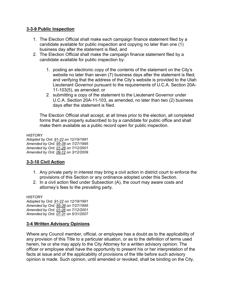#### **[3-3-9 Public Inspection](https://parkcity.municipalcodeonline.com/book?type=ordinances#name=3-3-9_Public_Inspection)**

- 1. The Election Official shall make each campaign finance statement filed by a candidate available for public inspection and copying no later than one (1) business day after the statement is filed, and
- 2. The Election Official shall make the campaign finance statement filed by a candidate available for public inspection by:
	- 1. posting an electronic copy of the contents of the statement on the City's website no later than seven (7) business days after the statement is filed; and verifying that the address of the City's website is provided to the Utah Lieutenant Governor pursuant to the requirements of U.C.A. Section 20A-11-103(5), as amended; or
	- 2. submitting a copy of the statement to the Lieutenant Governor under U.C.A. Section 20A-11-103, as amended, no later than two (2) business days after the statement is filed.

The Election Official shall accept, at all times prior to the election, all completed forms that are properly subscribed to by a candidate for public office and shall make them available as a public record open for public inspection.

**HISTORY** *Adopted by Ord. [91-22](https://s3-us-west-2.amazonaws.com/municipalcodeonline.com-new/parkcity/ordinances/documents/91-22.pdf) on 12/19/1991 Amended by Ord. [95-38](https://s3-us-west-2.amazonaws.com/municipalcodeonline.com-new/parkcity/ordinances/documents/95-38.pdf) on 7/27/1995 Amended by Ord. [01-26](https://s3-us-west-2.amazonaws.com/municipalcodeonline.com-new/parkcity/ordinances/documents/01-26.pdf) on 7/12/2001 Amended by Ord. [09-12](https://s3-us-west-2.amazonaws.com/municipalcodeonline.com-new/parkcity/ordinances/documents/09-12.pdf) on 3/12/2009*

#### **[3-3-10 Civil Action](https://parkcity.municipalcodeonline.com/book?type=ordinances#name=3-3-10_Civil_Action)**

- 1. Any private party in interest may bring a civil action in district court to enforce the provisions of this Section or any ordinance adopted under this Section.
- 2. In a civil action filed under Subsection (A), the court may aware costs and attorney's fees to the prevailing party.

**HISTORY** 

*Adopted by Ord. [91-22](https://s3-us-west-2.amazonaws.com/municipalcodeonline.com-new/parkcity/ordinances/documents/91-22.pdf) on 12/19/1991 Amended by Ord. [95-38](https://s3-us-west-2.amazonaws.com/municipalcodeonline.com-new/parkcity/ordinances/documents/95-38.pdf) on 7/27/1995 Amended by Ord. [01-26](https://s3-us-west-2.amazonaws.com/municipalcodeonline.com-new/parkcity/ordinances/documents/01-26.pdf) on 7/12/2001 Amended by Ord. [07-31](https://s3-us-west-2.amazonaws.com/municipalcodeonline.com-new/parkcity/ordinances/documents/07-31.pdf) on 5/31/2007*

#### **[3-4 Written Advisory Opinions](https://parkcity.municipalcodeonline.com/book?type=ordinances#name=3-4_Written_Advisory_Opinions)**

Where any Council member, official, or employee has a doubt as to the applicability of any provision of this Title to a particular situation, or as to the definition of terms used herein, he or she may apply to the City Attorney for a written advisory opinion. The officer or employee shall have the opportunity to present his or her interpretation of the facts at issue and of the applicability of provisions of the title before such advisory opinion is made. Such opinion, until amended or revoked, shall be binding on the City,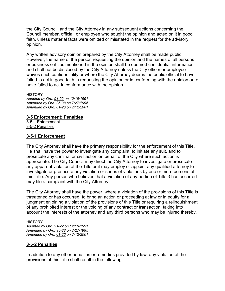the City Council, and the City Attorney in any subsequent actions concerning the Council member, official, or employee who sought the opinion and acted on it in good faith, unless material facts were omitted or misstated in the request for the advisory opinion.

Any written advisory opinion prepared by the City Attorney shall be made public. However, the name of the person requesting the opinion and the names of all persons or business entities mentioned in the opinion shall be deemed confidential information and shall not be disclosed by the City Attorney unless the City officer or employee waives such confidentiality or where the City Attorney deems the public official to have failed to act in good faith in requesting the opinion or in conforming with the opinion or to have failed to act in conformance with the opinion.

**HISTORY** *Adopted by Ord. [91-22](https://s3-us-west-2.amazonaws.com/municipalcodeonline.com-new/parkcity/ordinances/documents/91-22.pdf) on 12/19/1991 Amended by Ord. [95-38](https://s3-us-west-2.amazonaws.com/municipalcodeonline.com-new/parkcity/ordinances/documents/95-38.pdf) on 7/27/1995 Amended by Ord. [01-26](https://s3-us-west-2.amazonaws.com/municipalcodeonline.com-new/parkcity/ordinances/documents/01-26.pdf) on 7/12/2001*

#### **[3-5 Enforcement; Penalties](https://parkcity.municipalcodeonline.com/book?type=ordinances#name=3-5_Enforcement;_Penalties)**

[3-5-1 Enforcement](https://parkcity.municipalcodeonline.com/book?type=ordinances#name=3-5-1_Enforcement) [3-5-2 Penalties](https://parkcity.municipalcodeonline.com/book?type=ordinances#name=3-5-2_Penalties)

#### **[3-5-1 Enforcement](https://parkcity.municipalcodeonline.com/book?type=ordinances#name=3-5-1_Enforcement)**

The City Attorney shall have the primary responsibility for the enforcement of this Title. He shall have the power to investigate any complaint, to initiate any suit, and to prosecute any criminal or civil action on behalf of the City where such action is appropriate. The City Council may direct the City Attorney to investigate or prosecute any apparent violation of the Title or it may employ or appoint any qualified attorney to investigate or prosecute any violation or series of violations by one or more persons of this Title. Any person who believes that a violation of any portion of Title 3 has occurred may file a complaint with the City Attorney.

The City Attorney shall have the power, where a violation of the provisions of this Title is threatened or has occurred, to bring an action or proceeding at law or in equity for a judgment enjoining a violation of the provisions of this Title or requiring a relinquishment of any prohibited interest or the voiding of any contract or transaction, taking into account the interests of the attorney and any third persons who may be injured thereby.

**HISTORY** *Adopted by Ord. [91-22](https://s3-us-west-2.amazonaws.com/municipalcodeonline.com-new/parkcity/ordinances/documents/91-22.pdf) on 12/19/1991 Amended by Ord. [95-38](https://s3-us-west-2.amazonaws.com/municipalcodeonline.com-new/parkcity/ordinances/documents/95-38.pdf) on 7/27/1995 Amended by Ord. [01-26](https://s3-us-west-2.amazonaws.com/municipalcodeonline.com-new/parkcity/ordinances/documents/01-26.pdf) on 7/12/2001*

#### **[3-5-2 Penalties](https://parkcity.municipalcodeonline.com/book?type=ordinances#name=3-5-2_Penalties)**

In addition to any other penalties or remedies provided by law, any violation of the provisions of this Title shall result in the following: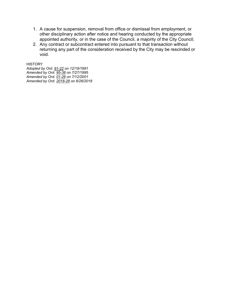- 1. A cause for suspension, removal from office or dismissal from employment, or other disciplinary action after notice and hearing conducted by the appropriate appointed authority, or in the case of the Council, a majority of the City Council;
- 2. Any contract or subcontract entered into pursuant to that transaction without returning any part of the consideration received by the City may be rescinded or void.

**HISTORY** 

*Adopted by Ord. [91-22](https://s3-us-west-2.amazonaws.com/municipalcodeonline.com-new/parkcity/ordinances/documents/91-22.pdf) on 12/19/1991 Amended by Ord. [95-38](https://s3-us-west-2.amazonaws.com/municipalcodeonline.com-new/parkcity/ordinances/documents/95-38.pdf) on 7/27/1995 Amended by Ord. [01-26](https://s3-us-west-2.amazonaws.com/municipalcodeonline.com-new/parkcity/ordinances/documents/01-26.pdf) on 7/12/2001 Amended by Ord. [2018-28](https://s3-us-west-2.amazonaws.com/municipalcodeonline.com-new/parkcity/ordinances/documents/2018-28%20Code%20Amendments.pdf) on 6/26/2018*